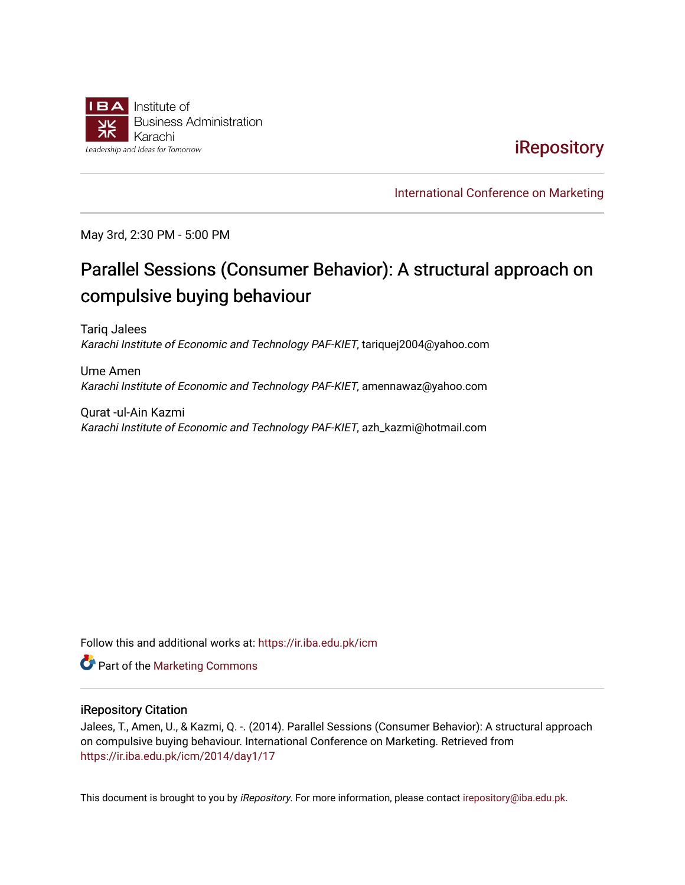

## **iRepository**

[International Conference on Marketing](https://ir.iba.edu.pk/icm) 

May 3rd, 2:30 PM - 5:00 PM

# Parallel Sessions (Consumer Behavior): A structural approach on compulsive buying behaviour

Tariq Jalees Karachi Institute of Economic and Technology PAF-KIET, tariquej2004@yahoo.com

Ume Amen Karachi Institute of Economic and Technology PAF-KIET, amennawaz@yahoo.com

Qurat -ul-Ain Kazmi Karachi Institute of Economic and Technology PAF-KIET, azh\_kazmi@hotmail.com

Follow this and additional works at: [https://ir.iba.edu.pk/icm](https://ir.iba.edu.pk/icm?utm_source=ir.iba.edu.pk%2Ficm%2F2014%2Fday1%2F17&utm_medium=PDF&utm_campaign=PDFCoverPages) 

**Part of the [Marketing Commons](http://network.bepress.com/hgg/discipline/638?utm_source=ir.iba.edu.pk%2Ficm%2F2014%2Fday1%2F17&utm_medium=PDF&utm_campaign=PDFCoverPages)** 

#### iRepository Citation

Jalees, T., Amen, U., & Kazmi, Q. -. (2014). Parallel Sessions (Consumer Behavior): A structural approach on compulsive buying behaviour. International Conference on Marketing. Retrieved from [https://ir.iba.edu.pk/icm/2014/day1/17](https://ir.iba.edu.pk/icm/2014/day1/17?utm_source=ir.iba.edu.pk%2Ficm%2F2014%2Fday1%2F17&utm_medium=PDF&utm_campaign=PDFCoverPages)

This document is brought to you by iRepository. For more information, please contact [irepository@iba.edu.pk](mailto:irepository@iba.edu.pk).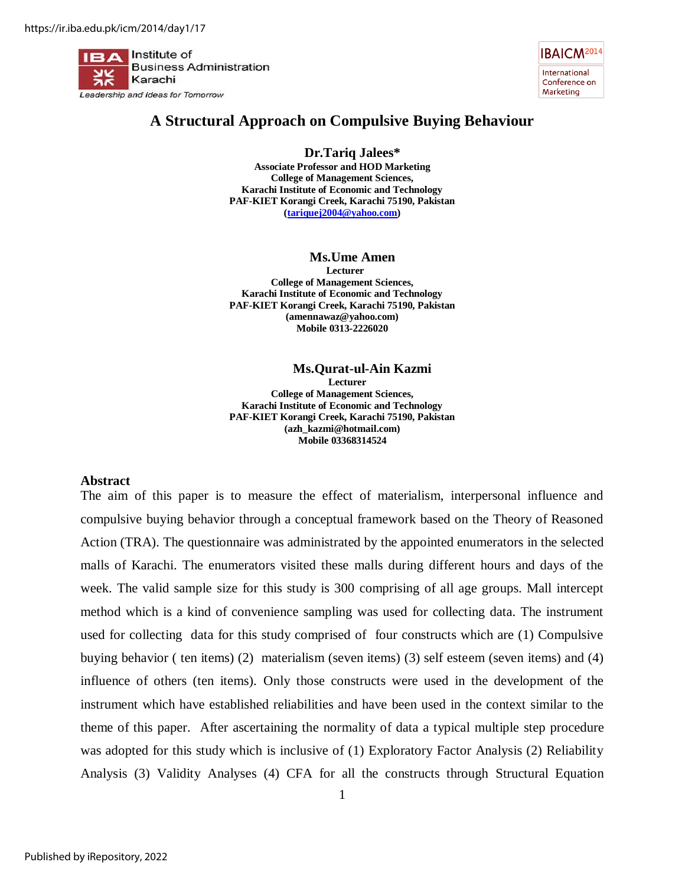Institute of **Business Administration** Karachi Leadership and Ideas for Tomorrow

**IBAICM<sup>2014</sup>** International Conference on Marketing

## **A Structural Approach on Compulsive Buying Behaviour**

**Dr.Tariq Jalees\*** 

**Associate Professor and HOD Marketing College of Management Sciences, Karachi Institute of Economic and Technology PAF-KIET Korangi Creek, Karachi 75190, Pakistan [\(tariquej2004@yahoo.com\)](mailto:tariquej2004@yahoo.com)** 

**Ms.Ume Amen Lecturer College of Management Sciences, Karachi Institute of Economic and Technology PAF-KIET Korangi Creek, Karachi 75190, Pakistan (amennawaz@yahoo.com) Mobile 0313-2226020** 

**Ms.Qurat-ul-Ain Kazmi Lecturer College of Management Sciences, Karachi Institute of Economic and Technology PAF-KIET Korangi Creek, Karachi 75190, Pakistan (azh\_kazmi@hotmail.com) Mobile 03368314524** 

#### **Abstract**

The aim of this paper is to measure the effect of materialism, interpersonal influence and compulsive buying behavior through a conceptual framework based on the Theory of Reasoned Action (TRA). The questionnaire was administrated by the appointed enumerators in the selected malls of Karachi. The enumerators visited these malls during different hours and days of the week. The valid sample size for this study is 300 comprising of all age groups. Mall intercept method which is a kind of convenience sampling was used for collecting data. The instrument used for collecting data for this study comprised of four constructs which are (1) Compulsive buying behavior ( ten items) (2) materialism (seven items) (3) self esteem (seven items) and (4) influence of others (ten items). Only those constructs were used in the development of the instrument which have established reliabilities and have been used in the context similar to the theme of this paper. After ascertaining the normality of data a typical multiple step procedure was adopted for this study which is inclusive of (1) Exploratory Factor Analysis (2) Reliability Analysis (3) Validity Analyses (4) CFA for all the constructs through Structural Equation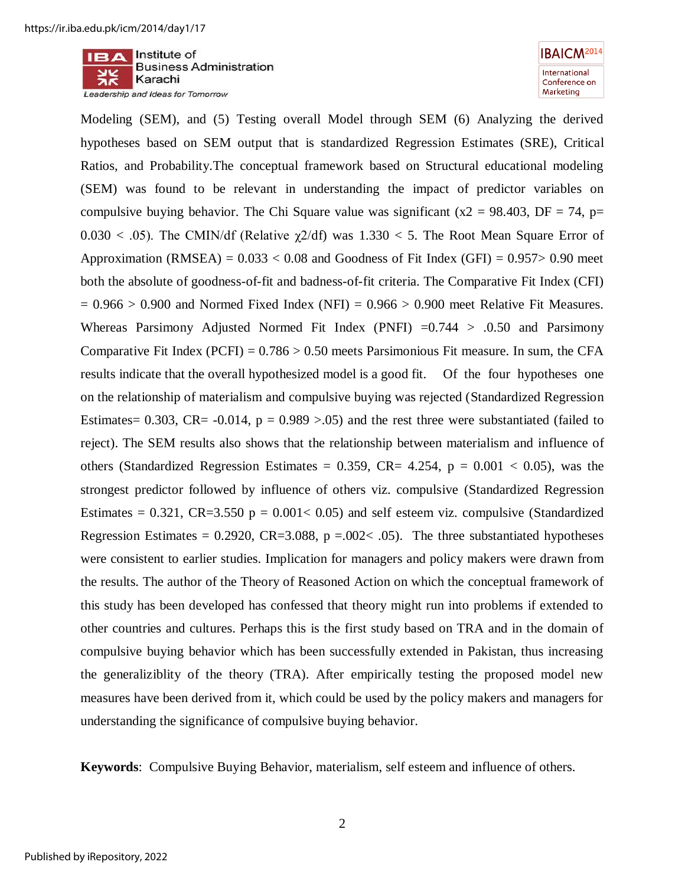



Modeling (SEM), and (5) Testing overall Model through SEM (6) Analyzing the derived hypotheses based on SEM output that is standardized Regression Estimates (SRE), Critical Ratios, and Probability.The conceptual framework based on Structural educational modeling (SEM) was found to be relevant in understanding the impact of predictor variables on compulsive buying behavior. The Chi Square value was significant ( $x2 = 98.403$ , DF = 74, p=  $0.030 < .05$ ). The CMIN/df (Relative  $\gamma$ 2/df) was 1.330 < 5. The Root Mean Square Error of Approximation (RMSEA) =  $0.033 < 0.08$  and Goodness of Fit Index (GFI) =  $0.957 > 0.90$  meet both the absolute of goodness-of-fit and badness-of-fit criteria. The Comparative Fit Index (CFI)  $= 0.966 > 0.900$  and Normed Fixed Index (NFI)  $= 0.966 > 0.900$  meet Relative Fit Measures. Whereas Parsimony Adjusted Normed Fit Index (PNFI)  $=0.744 > 0.50$  and Parsimony Comparative Fit Index (PCFI) =  $0.786 > 0.50$  meets Parsimonious Fit measure. In sum, the CFA results indicate that the overall hypothesized model is a good fit. Of the four hypotheses one on the relationship of materialism and compulsive buying was rejected (Standardized Regression Estimates= 0.303, CR= -0.014,  $p = 0.989 > 0.05$ ) and the rest three were substantiated (failed to reject). The SEM results also shows that the relationship between materialism and influence of others (Standardized Regression Estimates = 0.359, CR= 4.254,  $p = 0.001 < 0.05$ ), was the strongest predictor followed by influence of others viz. compulsive (Standardized Regression Estimates =  $0.321$ , CR=3.550 p =  $0.001 < 0.05$ ) and self esteem viz. compulsive (Standardized Regression Estimates = 0.2920, CR=3.088, p =  $.002< .05$ ). The three substantiated hypotheses were consistent to earlier studies. Implication for managers and policy makers were drawn from the results. The author of the Theory of Reasoned Action on which the conceptual framework of this study has been developed has confessed that theory might run into problems if extended to other countries and cultures. Perhaps this is the first study based on TRA and in the domain of compulsive buying behavior which has been successfully extended in Pakistan, thus increasing the generaliziblity of the theory (TRA). After empirically testing the proposed model new measures have been derived from it, which could be used by the policy makers and managers for understanding the significance of compulsive buying behavior.

**Keywords**: Compulsive Buying Behavior, materialism, self esteem and influence of others.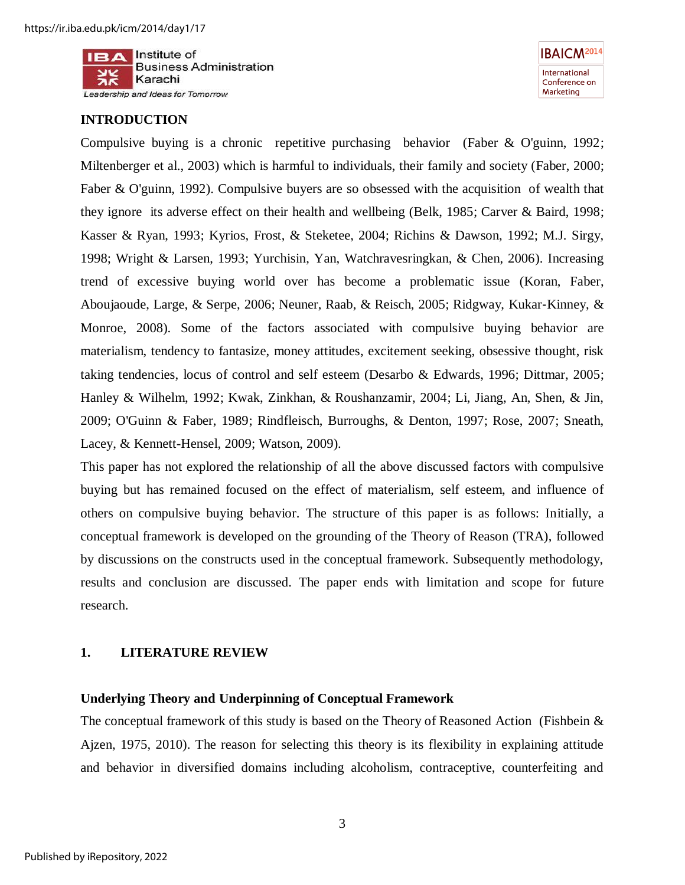

## **INTRODUCTION**



Compulsive buying is a chronic repetitive purchasing behavior [\(Faber & O'guinn, 1992;](#page-20-0) [Miltenberger et al., 2003\)](#page-22-0) which is harmful to individuals, their family and society [\(Faber, 2000;](#page-20-1) [Faber & O'guinn, 1992\)](#page-20-0). Compulsive buyers are so obsessed with the acquisition of wealth that they ignore its adverse effect on their health and wellbeing [\(Belk, 1985;](#page-19-0) [Carver & Baird, 1998;](#page-19-1) [Kasser & Ryan, 1993;](#page-21-0) [Kyrios, Frost, & Steketee, 2004;](#page-22-1) [Richins & Dawson, 1992;](#page-22-2) [M.J. Sirgy,](#page-23-0)  [1998;](#page-23-0) [Wright & Larsen, 1993;](#page-24-0) [Yurchisin, Yan, Watchravesringkan, & Chen, 2006\)](#page-24-1). Increasing trend of excessive buying world over has become a problematic issue [\(Koran, Faber,](#page-21-1)  [Aboujaoude, Large, & Serpe, 2006;](#page-21-1) [Neuner, Raab, & Reisch, 2005;](#page-22-3) [Ridgway, Kukar](#page-22-4)‐Kinney, & [Monroe, 2008\)](#page-22-4). Some of the factors associated with compulsive buying behavior are materialism, tendency to fantasize, money attitudes, excitement seeking, obsessive thought, risk taking tendencies, locus of control and self esteem [\(Desarbo & Edwards, 1996;](#page-20-2) [Dittmar, 2005;](#page-20-3) [Hanley & Wilhelm, 1992;](#page-21-2) [Kwak, Zinkhan, & Roushanzamir, 2004;](#page-21-3) [Li, Jiang, An, Shen, & Jin,](#page-22-5)  [2009;](#page-22-5) [O'Guinn & Faber, 1989;](#page-22-6) [Rindfleisch, Burroughs, & Denton, 1997;](#page-22-7) [Rose, 2007;](#page-23-1) [Sneath,](#page-23-2)  [Lacey, & Kennett-Hensel, 2009;](#page-23-2) [Watson, 2009\)](#page-24-2).

This paper has not explored the relationship of all the above discussed factors with compulsive buying but has remained focused on the effect of materialism, self esteem, and influence of others on compulsive buying behavior. The structure of this paper is as follows: Initially, a conceptual framework is developed on the grounding of the Theory of Reason (TRA), followed by discussions on the constructs used in the conceptual framework. Subsequently methodology, results and conclusion are discussed. The paper ends with limitation and scope for future research.

## **1. LITERATURE REVIEW**

#### **Underlying Theory and Underpinning of Conceptual Framework**

The conceptual framework of this study is based on the Theory of Reasoned Action [\(Fishbein &](#page-20-4)  [Ajzen, 1975,](#page-20-4) [2010\)](#page-20-5). The reason for selecting this theory is its flexibility in explaining attitude and behavior in diversified domains including alcoholism, contraceptive, counterfeiting and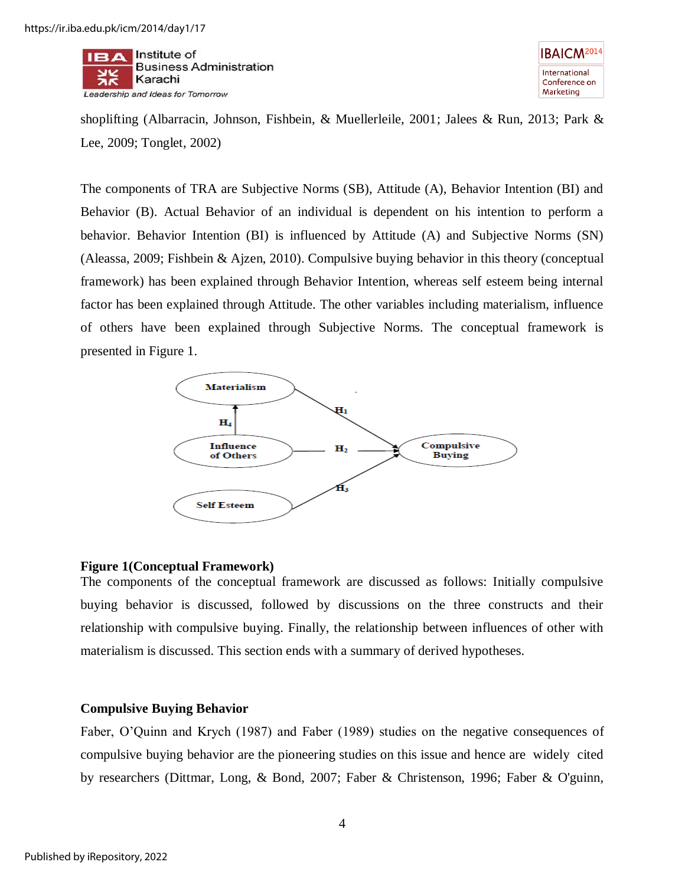



shoplifting [\(Albarracin, Johnson, Fishbein, & Muellerleile, 2001;](#page-19-2) [Jalees & Run, 2013;](#page-21-4) [Park &](#page-22-8)  [Lee, 2009;](#page-22-8) [Tonglet, 2002\)](#page-24-3)

The components of TRA are Subjective Norms (SB), Attitude (A), Behavior Intention (BI) and Behavior (B). Actual Behavior of an individual is dependent on his intention to perform a behavior. Behavior Intention (BI) is influenced by Attitude (A) and Subjective Norms (SN) [\(Aleassa, 2009;](#page-19-3) [Fishbein & Ajzen, 2010\)](#page-20-5). Compulsive buying behavior in this theory (conceptual framework) has been explained through Behavior Intention, whereas self esteem being internal factor has been explained through Attitude. The other variables including materialism, influence of others have been explained through Subjective Norms. The conceptual framework is presented in Figure 1.



#### **Figure 1(Conceptual Framework)**

The components of the conceptual framework are discussed as follows: Initially compulsive buying behavior is discussed, followed by discussions on the three constructs and their relationship with compulsive buying. Finally, the relationship between influences of other with materialism is discussed. This section ends with a summary of derived hypotheses.

#### **Compulsive Buying Behavior**

Faber, O'Quinn and Krych (1987) and Faber (1989) studies on the negative consequences of compulsive buying behavior are the pioneering studies on this issue and hence are widely cited by researchers [\(Dittmar, Long, & Bond, 2007;](#page-20-6) [Faber & Christenson, 1996;](#page-20-7) [Faber & O'guinn,](#page-20-0)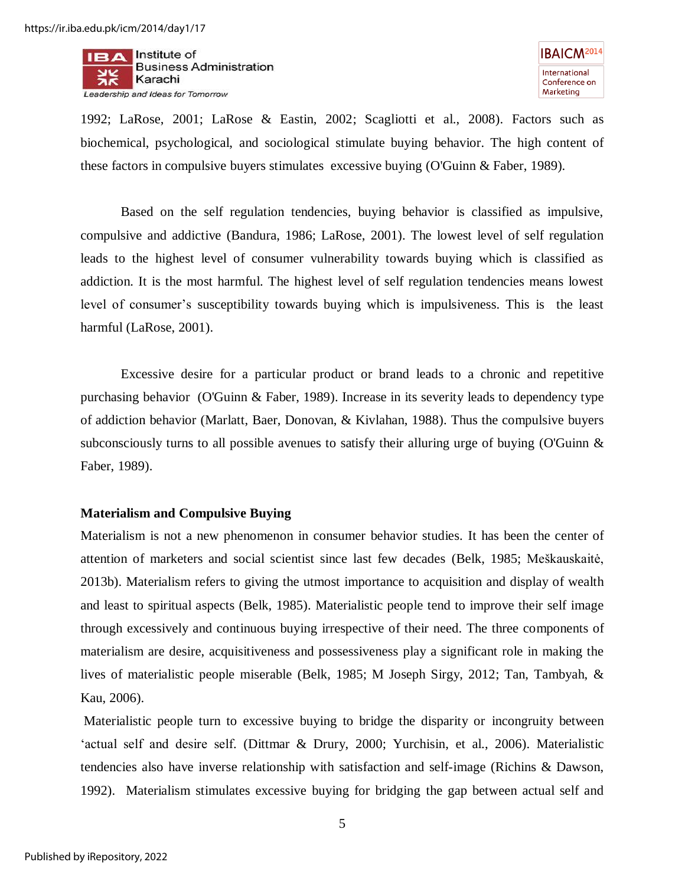

1992; [LaRose, 2001;](#page-22-9) [LaRose & Eastin, 2002;](#page-22-10) [Scagliotti et al., 2008\)](#page-23-3). Factors such as biochemical, psychological, and sociological stimulate buying behavior. The high content of these factors in compulsive buyers stimulates excessive buying [\(O'Guinn & Faber, 1989\)](#page-22-6).

Based on the self regulation tendencies, buying behavior is classified as impulsive, compulsive and addictive [\(Bandura, 1986;](#page-19-4) [LaRose, 2001\)](#page-22-9). The lowest level of self regulation leads to the highest level of consumer vulnerability towards buying which is classified as addiction. It is the most harmful. The highest level of self regulation tendencies means lowest level of consumer's susceptibility towards buying which is impulsiveness. This is the least harmful [\(LaRose, 2001\)](#page-22-9).

Excessive desire for a particular product or brand leads to a chronic and repetitive purchasing behavior [\(O'Guinn & Faber, 1989\)](#page-22-6). Increase in its severity leads to dependency type of addiction behavior [\(Marlatt, Baer, Donovan, & Kivlahan, 1988\)](#page-22-11). Thus the compulsive buyers subconsciously turns to all possible avenues to satisfy their alluring urge of buying [\(O'Guinn &](#page-22-6)  [Faber, 1989\)](#page-22-6).

#### **Materialism and Compulsive Buying**

Materialism is not a new phenomenon in consumer behavior studies. It has been the center of attention of marketers and social scientist since last few decades [\(Belk, 1985;](#page-19-0) Meškauskaitė, 2013b). Materialism refers to giving the utmost importance to acquisition and display of wealth and least to spiritual aspects [\(Belk, 1985\)](#page-19-0). Materialistic people tend to improve their self image through excessively and continuous buying irrespective of their need. The three components of materialism are desire, acquisitiveness and possessiveness play a significant role in making the lives of materialistic people miserable [\(Belk, 1985;](#page-19-0) [M Joseph Sirgy, 2012;](#page-23-4) [Tan, Tambyah, &](#page-23-5)  [Kau, 2006\)](#page-23-5).

 Materialistic people turn to excessive buying to bridge the disparity or incongruity between 'actual self and desire self. [\(Dittmar & Drury, 2000;](#page-20-8) [Yurchisin, et al., 2006\)](#page-24-1). Materialistic tendencies also have inverse relationship with satisfaction and self-image [\(Richins & Dawson,](#page-22-2)  [1992\)](#page-22-2). Materialism stimulates excessive buying for bridging the gap between actual self and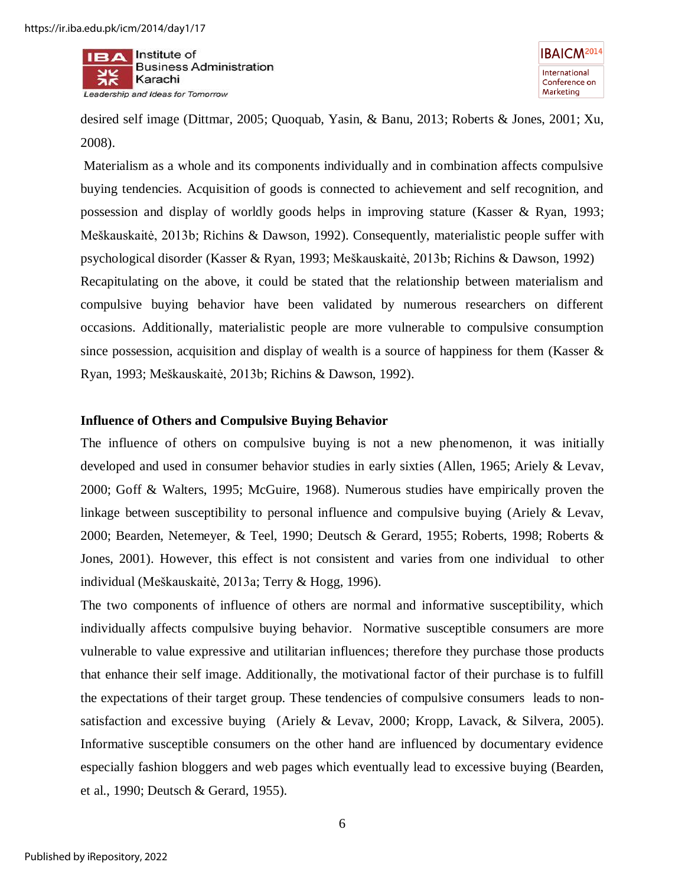



desired self image [\(Dittmar, 2005;](#page-20-3) [Quoquab, Yasin, & Banu, 2013;](#page-22-12) [Roberts & Jones, 2001;](#page-23-6) [Xu,](#page-24-4)  [2008\)](#page-24-4).

 Materialism as a whole and its components individually and in combination affects compulsive buying tendencies. Acquisition of goods is connected to achievement and self recognition, and possession and display of worldly goods helps in improving stature [\(Kasser & Ryan, 1993;](#page-21-0) Meškauskaitė, 2013b; [Richins & Dawson, 1992\)](#page-22-2). Consequently, materialistic people suffer with psychological disorder [\(Kasser & Ryan, 1993;](#page-21-0) Meškauskaitė, 2013b; [Richins & Dawson, 1992\)](#page-22-2) Recapitulating on the above, it could be stated that the relationship between materialism and compulsive buying behavior have been validated by numerous researchers on different occasions. Additionally, materialistic people are more vulnerable to compulsive consumption since possession, acquisition and display of wealth is a source of happiness for them (Kasser  $\&$ [Ryan, 1993;](#page-21-0) Meškauskaitė, 2013b; [Richins & Dawson, 1992\)](#page-22-2).

#### **Influence of Others and Compulsive Buying Behavior**

The influence of others on compulsive buying is not a new phenomenon, it was initially developed and used in consumer behavior studies in early sixties [\(Allen, 1965;](#page-19-5) [Ariely & Levav,](#page-19-6)  [2000;](#page-19-6) [Goff & Walters, 1995;](#page-21-5) [McGuire, 1968\)](#page-22-13). Numerous studies have empirically proven the linkage between susceptibility to personal influence and compulsive buying [\(Ariely & Levav,](#page-19-6)  [2000;](#page-19-6) [Bearden, Netemeyer, & Teel, 1990;](#page-19-7) [Deutsch & Gerard, 1955;](#page-20-9) [Roberts, 1998;](#page-22-14) [Roberts &](#page-23-6)  [Jones, 2001\)](#page-23-6). However, this effect is not consistent and varies from one individual to other individual [\(Meškauskaitė, 2013a;](#page-22-15) [Terry & Hogg, 1996\)](#page-24-5).

The two components of influence of others are normal and informative susceptibility, which individually affects compulsive buying behavior. Normative susceptible consumers are more vulnerable to value expressive and utilitarian influences; therefore they purchase those products that enhance their self image. Additionally, the motivational factor of their purchase is to fulfill the expectations of their target group. These tendencies of compulsive consumers leads to nonsatisfaction and excessive buying [\(Ariely & Levav, 2000;](#page-19-6) [Kropp, Lavack, & Silvera, 2005\)](#page-21-6). Informative susceptible consumers on the other hand are influenced by documentary evidence especially fashion bloggers and web pages which eventually lead to excessive buying [\(Bearden,](#page-19-7)  [et al., 1990;](#page-19-7) [Deutsch & Gerard, 1955\)](#page-20-9).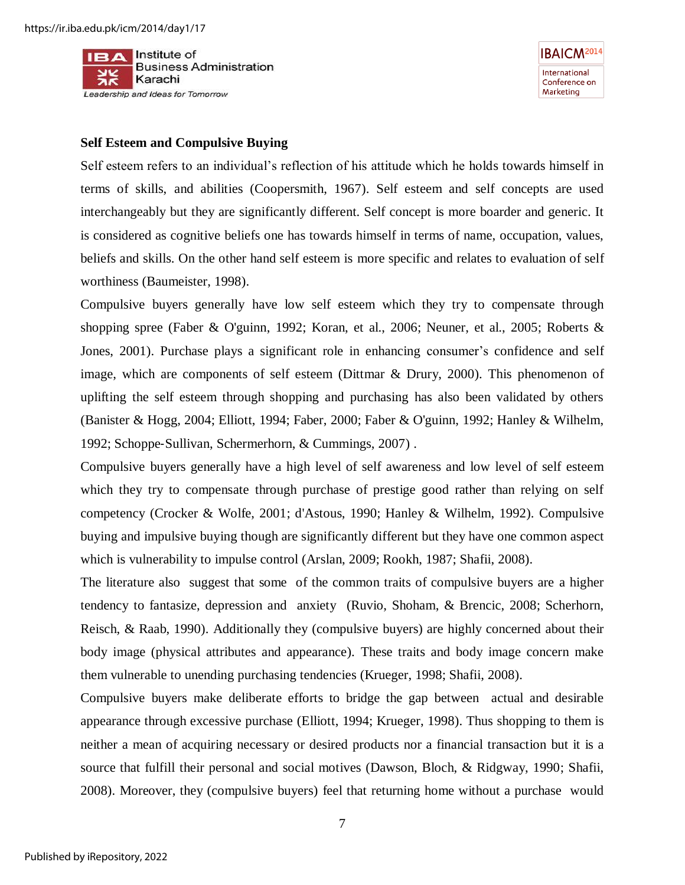

**IBAICM<sup>2014</sup>** International Conference on Marketing

#### **Self Esteem and Compulsive Buying**

Self esteem refers to an individual's reflection of his attitude which he holds towards himself in terms of skills, and abilities [\(Coopersmith, 1967\)](#page-20-10). Self esteem and self concepts are used interchangeably but they are significantly different. Self concept is more boarder and generic. It is considered as cognitive beliefs one has towards himself in terms of name, occupation, values, beliefs and skills. On the other hand self esteem is more specific and relates to evaluation of self worthiness [\(Baumeister, 1998\)](#page-19-8).

Compulsive buyers generally have low self esteem which they try to compensate through shopping spree [\(Faber & O'guinn, 1992;](#page-20-0) [Koran, et al., 2006;](#page-21-1) [Neuner, et al., 2005;](#page-22-3) [Roberts &](#page-23-6)  [Jones, 2001\)](#page-23-6). Purchase plays a significant role in enhancing consumer's confidence and self image, which are components of self esteem [\(Dittmar & Drury, 2000\)](#page-20-8). This phenomenon of uplifting the self esteem through shopping and purchasing has also been validated by others [\(Banister & Hogg, 2004;](#page-19-9) [Elliott, 1994;](#page-20-11) [Faber, 2000;](#page-20-1) [Faber & O'guinn, 1992;](#page-20-0) [Hanley & Wilhelm,](#page-21-2)  [1992;](#page-21-2) Schoppe‐[Sullivan, Schermerhorn, & Cummings, 2007\)](#page-23-7) .

Compulsive buyers generally have a high level of self awareness and low level of self esteem which they try to compensate through purchase of prestige good rather than relying on self competency [\(Crocker & Wolfe, 2001;](#page-20-12) [d'Astous, 1990;](#page-20-13) [Hanley & Wilhelm, 1992\)](#page-21-2). Compulsive buying and impulsive buying though are significantly different but they have one common aspect which is vulnerability to impulse control [\(Arslan, 2009;](#page-19-10) [Rookh, 1987;](#page-23-8) [Shafii, 2008\)](#page-23-9).

The literature also suggest that some of the common traits of compulsive buyers are a higher tendency to fantasize, depression and anxiety [\(Ruvio, Shoham, & Brencic, 2008;](#page-23-10) [Scherhorn,](#page-23-11)  [Reisch, & Raab, 1990\)](#page-23-11). Additionally they (compulsive buyers) are highly concerned about their body image (physical attributes and appearance). These traits and body image concern make them vulnerable to unending purchasing tendencies [\(Krueger, 1998;](#page-21-7) [Shafii, 2008\)](#page-23-9).

Compulsive buyers make deliberate efforts to bridge the gap between actual and desirable appearance through excessive purchase [\(Elliott, 1994;](#page-20-11) [Krueger, 1998\)](#page-21-7). Thus shopping to them is neither a mean of acquiring necessary or desired products nor a financial transaction but it is a source that fulfill their personal and social motives [\(Dawson, Bloch, & Ridgway, 1990;](#page-20-14) [Shafii,](#page-23-9)  [2008\)](#page-23-9). Moreover, they (compulsive buyers) feel that returning home without a purchase would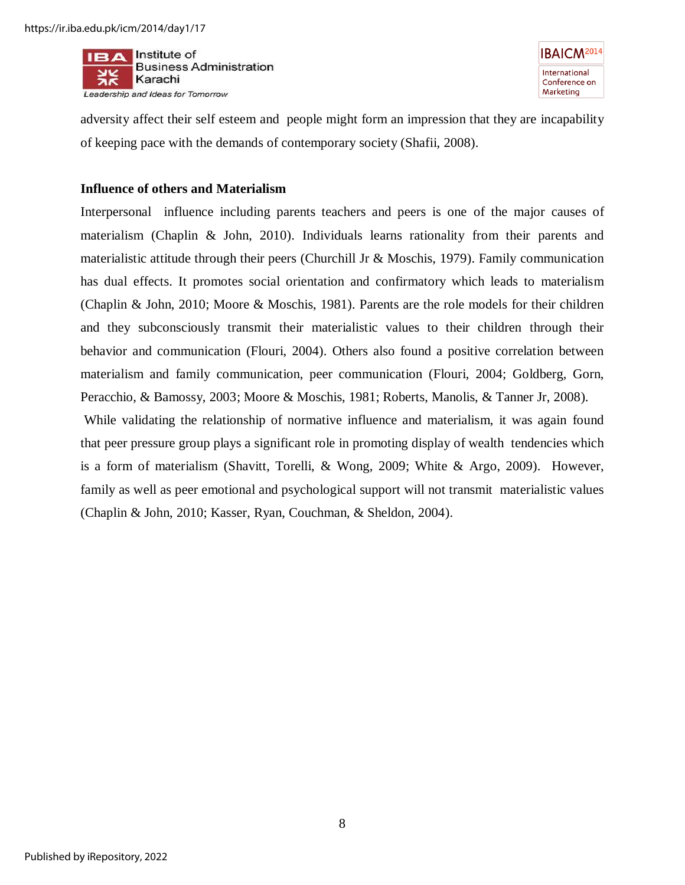

**IBAICM<sup>2014</sup>** International Conference on Marketing

adversity affect their self esteem and people might form an impression that they are incapability of keeping pace with the demands of contemporary society [\(Shafii, 2008\)](#page-23-9).

#### **Influence of others and Materialism**

Interpersonal influence including parents teachers and peers is one of the major causes of materialism [\(Chaplin & John, 2010\)](#page-20-15). Individuals learns rationality from their parents and materialistic attitude through their peers [\(Churchill Jr & Moschis, 1979\)](#page-20-16). Family communication has dual effects. It promotes social orientation and confirmatory which leads to materialism [\(Chaplin & John, 2010;](#page-20-15) [Moore & Moschis, 1981\)](#page-22-16). Parents are the role models for their children and they subconsciously transmit their materialistic values to their children through their behavior and communication [\(Flouri, 2004\)](#page-20-17). Others also found a positive correlation between materialism and family communication, peer communication [\(Flouri, 2004;](#page-20-17) [Goldberg, Gorn,](#page-21-8)  [Peracchio, & Bamossy, 2003;](#page-21-8) [Moore & Moschis, 1981;](#page-22-16) [Roberts, Manolis, & Tanner Jr, 2008\)](#page-23-12).

While validating the relationship of normative influence and materialism, it was again found that peer pressure group plays a significant role in promoting display of wealth tendencies which is a form of materialism [\(Shavitt, Torelli, & Wong, 2009;](#page-23-13) [White & Argo, 2009\)](#page-24-6). However, family as well as peer emotional and psychological support will not transmit materialistic values [\(Chaplin & John, 2010;](#page-20-15) [Kasser, Ryan, Couchman, & Sheldon, 2004\)](#page-21-9).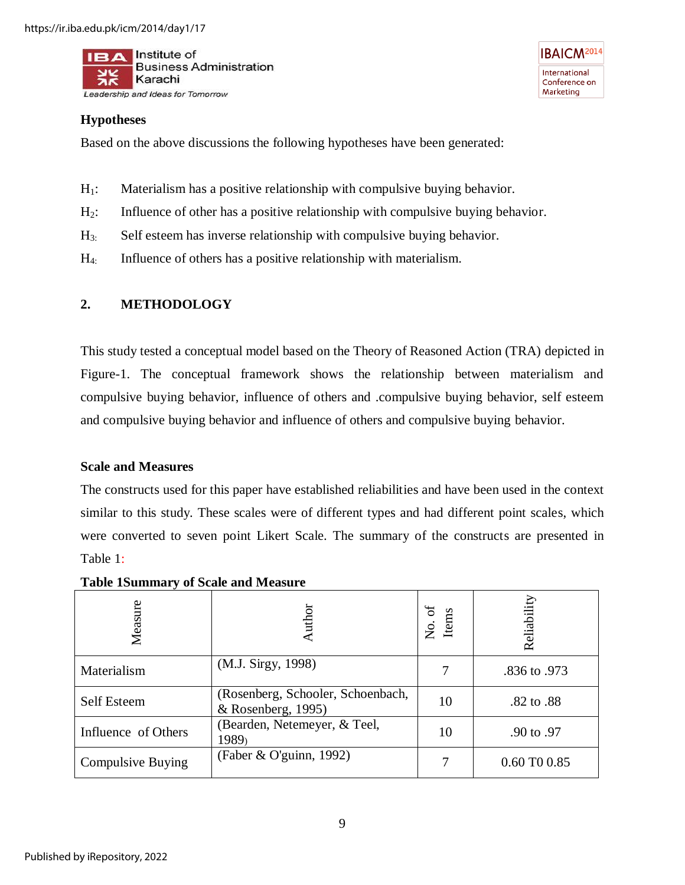

## **Hypotheses**

Based on the above discussions the following hypotheses have been generated:

- $H_1$ : Materialism has a positive relationship with compulsive buying behavior.
- $H<sub>2</sub>$ : Influence of other has a positive relationship with compulsive buying behavior.

**IBAICM<sup>2014</sup>** 

International

Conference on Marketing

- H3: Self esteem has inverse relationship with compulsive buying behavior.
- $H_4$ : Influence of others has a positive relationship with materialism.

## **2. METHODOLOGY**

This study tested a conceptual model based on the Theory of Reasoned Action (TRA) depicted in Figure-1. The conceptual framework shows the relationship between materialism and compulsive buying behavior, influence of others and .compulsive buying behavior, self esteem and compulsive buying behavior and influence of others and compulsive buying behavior.

## **Scale and Measures**

The constructs used for this paper have established reliabilities and have been used in the context similar to this study. These scales were of different types and had different point scales, which were converted to seven point Likert Scale. The summary of the constructs are presented in Table 1:

| Measure             | uthor                                                     | No. of<br>Items | Reliability  |
|---------------------|-----------------------------------------------------------|-----------------|--------------|
| Materialism         | (M.J. Sirgy, 1998)                                        |                 | .836 to .973 |
| <b>Self Esteem</b>  | (Rosenberg, Schooler, Schoenbach,<br>$&$ Rosenberg, 1995) | 10              | .82 to .88   |
| Influence of Others | (Bearden, Netemeyer, & Teel,<br>1989)                     | 10              | .90 to .97   |
| Compulsive Buying   | (Faber & O'guinn, 1992)                                   |                 | 0.60 TO 0.85 |

**Table 1Summary of Scale and Measure**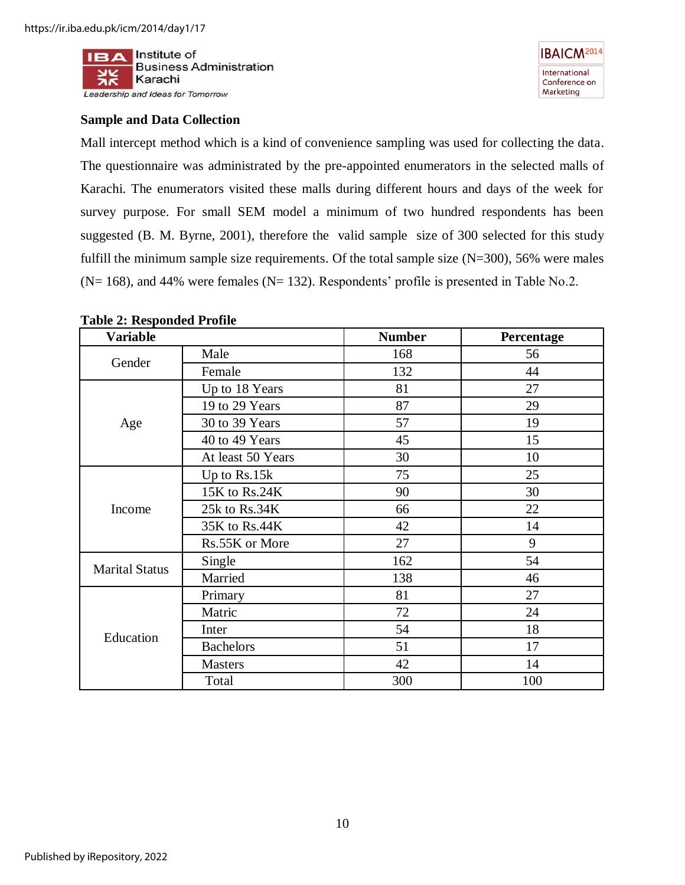

## **Sample and Data Collection**

Mall intercept method which is a kind of convenience sampling was used for collecting the data. The questionnaire was administrated by the pre-appointed enumerators in the selected malls of Karachi. The enumerators visited these malls during different hours and days of the week for survey purpose. For small SEM model a minimum of two hundred respondents has been suggested [\(B. M. Byrne, 2001\)](#page-19-12), therefore the valid sample size of 300 selected for this study fulfill the minimum sample size requirements. Of the total sample size  $(N=300)$ , 56% were males  $(N= 168)$ , and 44% were females  $(N= 132)$ . Respondents' profile is presented in Table No.2.

| <b>Variable</b>       |                   | <b>Number</b> | Percentage |
|-----------------------|-------------------|---------------|------------|
| Gender                | Male              | 168           | 56         |
|                       | Female            | 132           | 44         |
|                       | Up to 18 Years    | 81            | 27         |
|                       | 19 to 29 Years    | 87            | 29         |
| Age                   | 30 to 39 Years    | 57            | 19         |
|                       | 40 to 49 Years    | 45            | 15         |
|                       | At least 50 Years | 30            | 10         |
|                       | Up to Rs.15k      | 75            | 25         |
|                       | 15K to Rs.24K     | 90            | 30         |
| Income                | 25k to Rs.34K     | 66            | 22         |
|                       | 35K to Rs.44K     | 42            | 14         |
|                       | Rs.55K or More    | 27            | 9          |
| <b>Marital Status</b> | Single            | 162           | 54         |
|                       | Married           | 138           | 46         |
|                       | Primary           | 81            | 27         |
|                       | Matric            | 72            | 24         |
| Education             | Inter             | 54            | 18         |
|                       | <b>Bachelors</b>  | 51            | 17         |
|                       | <b>Masters</b>    | 42            | 14         |
|                       | Total             | 300           | 100        |

### **Table 2: Responded Profile**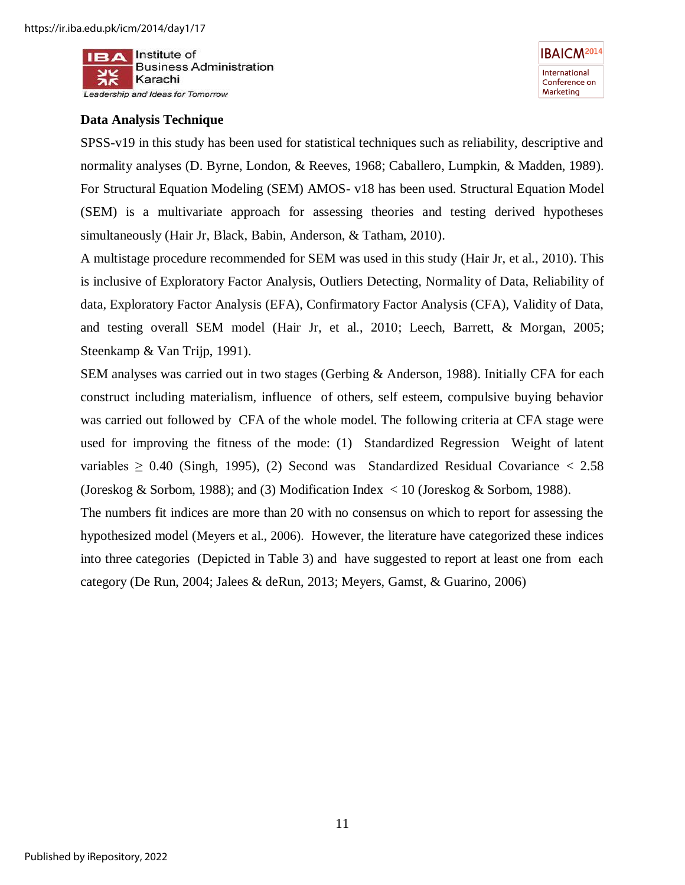

## **Data Analysis Technique**

SPSS-v19 in this study has been used for statistical techniques such as reliability, descriptive and normality analyses [\(D. Byrne, London, & Reeves, 1968;](#page-19-13) [Caballero, Lumpkin, & Madden, 1989\)](#page-19-14). For Structural Equation Modeling (SEM) AMOS- v18 has been used. Structural Equation Model (SEM) is a multivariate approach for assessing theories and testing derived hypotheses simultaneously [\(Hair Jr, Black, Babin, Anderson, & Tatham, 2010\)](#page-21-10).

A multistage procedure recommended for SEM was used in this study [\(Hair Jr, et al., 2010\)](#page-21-10). This is inclusive of Exploratory Factor Analysis, Outliers Detecting, Normality of Data, Reliability of data, Exploratory Factor Analysis (EFA), Confirmatory Factor Analysis (CFA), Validity of Data, and testing overall SEM model [\(Hair Jr, et al., 2010;](#page-21-10) [Leech, Barrett, & Morgan, 2005;](#page-22-17) [Steenkamp & Van Trijp, 1991\)](#page-23-15).

SEM analyses was carried out in two stages [\(Gerbing & Anderson, 1988\)](#page-21-11). Initially CFA for each construct including materialism, influence of others, self esteem, compulsive buying behavior was carried out followed by CFA of the whole model. The following criteria at CFA stage were used for improving the fitness of the mode: (1) Standardized Regression Weight of latent variables  $\geq$  0.40 [\(Singh, 1995\)](#page-23-16), (2) Second was Standardized Residual Covariance  $\lt$  2.58 [\(Joreskog & Sorbom, 1988\)](#page-21-12); and (3) Modification Index < 10 [\(Joreskog & Sorbom, 1988\)](#page-21-12).

The numbers fit indices are more than 20 with no consensus on which to report for assessing the hypothesized model (Meyers et al., 2006). However, the literature have categorized these indices into three categories (Depicted in Table 3) and have suggested to report at least one from each category [\(De Run, 2004;](#page-20-18) [Jalees & deRun, 2013;](#page-21-13) [Meyers, Gamst, & Guarino, 2006\)](#page-22-18)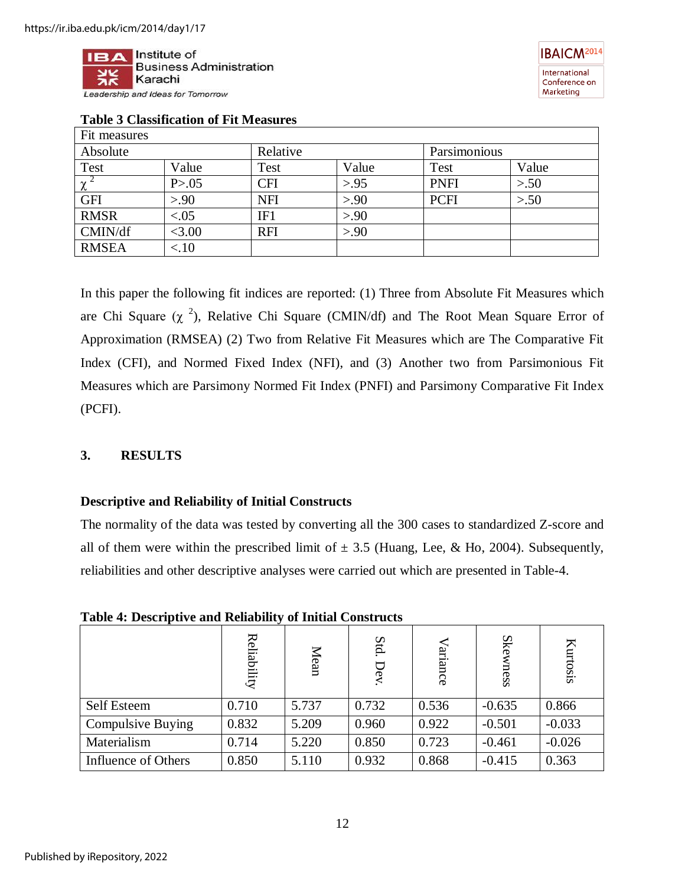



| Fit measures |         |            |       |              |       |
|--------------|---------|------------|-------|--------------|-------|
| Absolute     |         | Relative   |       | Parsimonious |       |
| Test         | Value   | Test       | Value | Test         | Value |
| $\chi$       | P > .05 | CFI        | > 95  | <b>PNFI</b>  | > 50  |
| <b>GFI</b>   | > 90    | <b>NFI</b> | > 90  | <b>PCFI</b>  | > 50  |
| <b>RMSR</b>  | < .05   | IF1        | > 90  |              |       |
| CMIN/df      | < 3.00  | <b>RFI</b> | > 90  |              |       |
| <b>RMSEA</b> | < 10    |            |       |              |       |

## **Table 3 Classification of Fit Measures**

In this paper the following fit indices are reported: (1) Three from Absolute Fit Measures which are Chi Square  $(\chi^2)$ , Relative Chi Square (CMIN/df) and The Root Mean Square Error of Approximation (RMSEA) (2) Two from Relative Fit Measures which are The Comparative Fit Index (CFI), and Normed Fixed Index (NFI), and (3) Another two from Parsimonious Fit Measures which are Parsimony Normed Fit Index (PNFI) and Parsimony Comparative Fit Index (PCFI).

#### **3. RESULTS**

#### **Descriptive and Reliability of Initial Constructs**

The normality of the data was tested by converting all the 300 cases to standardized Z-score and all of them were within the prescribed limit of  $\pm$  3.5 [\(Huang, Lee, & Ho, 2004\)](#page-21-14). Subsequently, reliabilities and other descriptive analyses were carried out which are presented in Table-4.

**Table 4: Descriptive and Reliability of Initial Constructs** 

|                          | Reliability | Mean  | Std.<br>Dev. | ariance | <b>Ske</b><br>mess | Kurtosis |
|--------------------------|-------------|-------|--------------|---------|--------------------|----------|
| Self Esteem              | 0.710       | 5.737 | 0.732        | 0.536   | $-0.635$           | 0.866    |
| <b>Compulsive Buying</b> | 0.832       | 5.209 | 0.960        | 0.922   | $-0.501$           | $-0.033$ |
| Materialism              | 0.714       | 5.220 | 0.850        | 0.723   | $-0.461$           | $-0.026$ |
| Influence of Others      | 0.850       | 5.110 | 0.932        | 0.868   | $-0.415$           | 0.363    |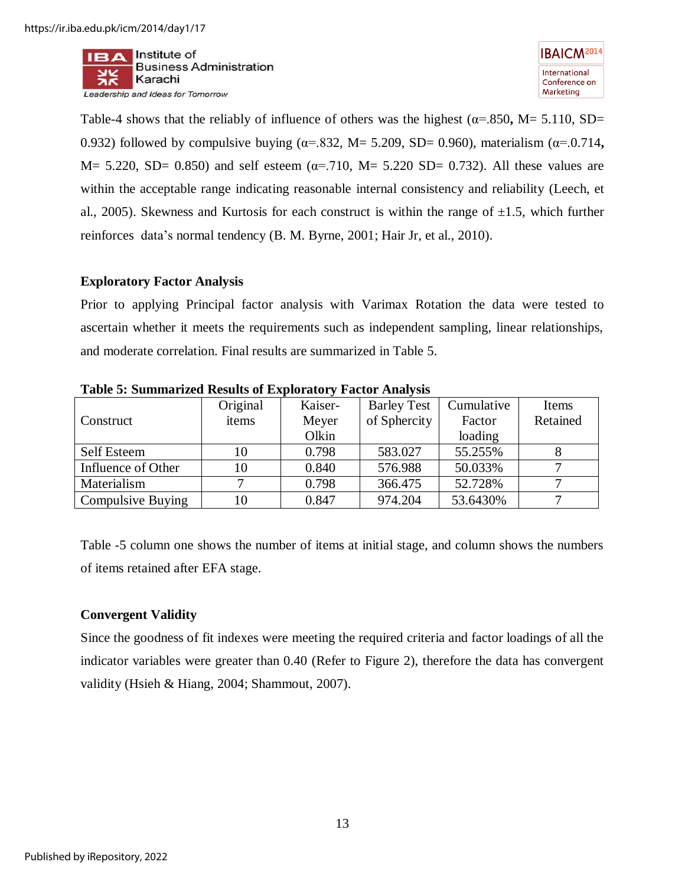$II = A$  Institute of **Business Administration** Karachi Leadership and Ideas for Tomorrow



Table-4 shows that the reliably of influence of others was the highest ( $\alpha$ =.850, M= 5.110, SD= 0.932) followed by compulsive buying (α=.832, M= 5.209, SD= 0.960), materialism (α=.0.714**,**  M= 5.220, SD= 0.850) and self esteem ( $\alpha$ =.710, M= 5.220 SD= 0.732). All these values are within the acceptable range indicating reasonable internal consistency and reliability [\(Leech, et](#page-22-17)  [al., 2005\)](#page-22-17). Skewness and Kurtosis for each construct is within the range of  $\pm 1.5$ , which further reinforces data's normal tendency [\(B. M. Byrne, 2001;](#page-19-12) [Hair Jr, et al., 2010\)](#page-21-10).

#### **Exploratory Factor Analysis**

Prior to applying Principal factor analysis with Varimax Rotation the data were tested to ascertain whether it meets the requirements such as independent sampling, linear relationships, and moderate correlation. Final results are summarized in Table 5.

|                    | Original | Kaiser- | <b>Barley Test</b> | Cumulative | Items    |
|--------------------|----------|---------|--------------------|------------|----------|
| Construct          | items    | Meyer   | of Sphercity       | Factor     | Retained |
|                    |          | Olkin   |                    | loading    |          |
| <b>Self Esteem</b> | 10       | 0.798   | 583.027            | 55.255%    |          |
| Influence of Other | 10       | 0.840   | 576.988            | 50.033%    |          |
| Materialism        |          | 0.798   | 366.475            | 52.728%    |          |
| Compulsive Buying  | 10       | 0.847   | 974.204            | 53.6430%   |          |

**Table 5: Summarized Results of Exploratory Factor Analysis** 

Table -5 column one shows the number of items at initial stage, and column shows the numbers of items retained after EFA stage.

## **Convergent Validity**

Since the goodness of fit indexes were meeting the required criteria and factor loadings of all the indicator variables were greater than 0.40 (Refer to Figure 2), therefore the data has convergent validity [\(Hsieh & Hiang, 2004;](#page-21-15) [Shammout, 2007\)](#page-23-17).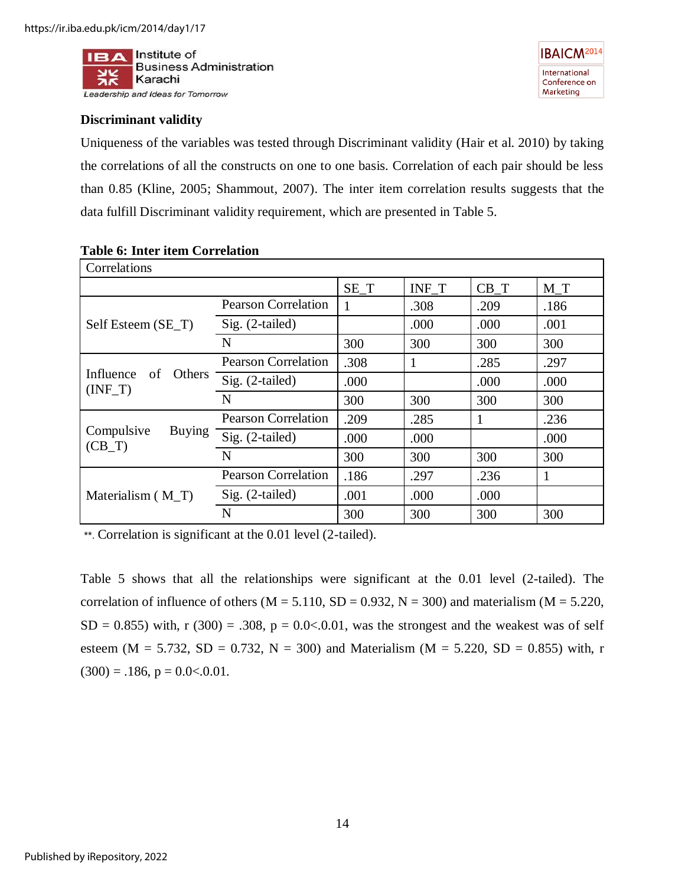

## **Discriminant validity**

Uniqueness of the variables was tested through Discriminant validity (Hair et al. 2010) by taking the correlations of all the constructs on one to one basis. Correlation of each pair should be less than 0.85 [\(Kline, 2005;](#page-21-16) [Shammout, 2007\)](#page-23-17). The inter item correlation results suggests that the data fulfill Discriminant validity requirement, which are presented in Table 5.

| Correlations                            |                            |        |       |        |       |
|-----------------------------------------|----------------------------|--------|-------|--------|-------|
|                                         |                            | $SE_T$ | INF_T | $CB_T$ | $M_T$ |
|                                         | <b>Pearson Correlation</b> |        | .308  | .209   | .186  |
| Self Esteem (SE_T)                      | Sig. (2-tailed)            |        | .000  | .000   | .001  |
|                                         | N                          | 300    | 300   | 300    | 300   |
|                                         | <b>Pearson Correlation</b> | .308   |       | .285   | .297  |
| Influence<br>of<br>Others<br>$(INF_T)$  | Sig. (2-tailed)            | .000   |       | .000   | .000  |
|                                         | N                          | 300    | 300   | 300    | 300   |
| Compulsive<br><b>Buying</b><br>$(CB_T)$ | <b>Pearson Correlation</b> | .209   | .285  |        | .236  |
|                                         | Sig. (2-tailed)            | .000   | .000  |        | .000  |
|                                         | N                          | 300    | 300   | 300    | 300   |
|                                         | <b>Pearson Correlation</b> | .186   | .297  | .236   | 1     |
| Materialism $(M_T)$                     | $Sig. (2-tailed)$          | .001   | .000  | .000   |       |
|                                         | N                          | 300    | 300   | 300    | 300   |

#### **Table 6: Inter item Correlation**

\*\*. Correlation is significant at the 0.01 level (2-tailed).

Table 5 shows that all the relationships were significant at the 0.01 level (2-tailed). The correlation of influence of others ( $M = 5.110$ ,  $SD = 0.932$ ,  $N = 300$ ) and materialism ( $M = 5.220$ ,  $SD = 0.855$ ) with, r (300) = .308, p = 0.0<.0.01, was the strongest and the weakest was of self esteem (M = 5.732, SD = 0.732, N = 300) and Materialism (M = 5.220, SD = 0.855) with, r  $(300) = .186$ ,  $p = 0.0 < .0.01$ .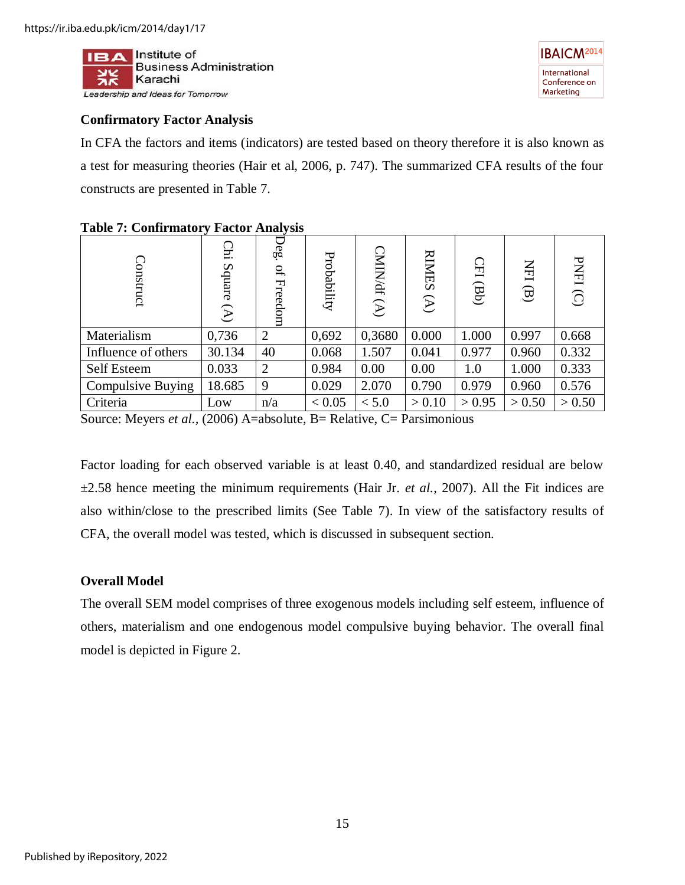

## **Confirmatory Factor Analysis**

In CFA the factors and items (indicators) are tested based on theory therefore it is also known as a test for measuring theories (Hair et al, 2006, p. 747). The summarized CFA results of the four constructs are presented in Table 7.

| <b>Construct</b>         | <u>يع</u><br>Square<br>$\mathfrak{D}$ | Deg.<br>$\mathfrak{g}$<br>Freedom | Probability | <b>CMIN/df</b><br>$\mathfrak{D}$ | <b>RIMES</b><br>$\begin{pmatrix} \mathbf{A} \\ \mathbf{B} \end{pmatrix}$ | $\Omega$<br>$\left($ | HH<br>$\Theta$ | <b>PNFI</b><br>$\widehat{O}$ |
|--------------------------|---------------------------------------|-----------------------------------|-------------|----------------------------------|--------------------------------------------------------------------------|----------------------|----------------|------------------------------|
| Materialism              | 0,736                                 | $\overline{2}$                    | 0,692       | 0,3680                           | 0.000                                                                    | 1.000                | 0.997          | 0.668                        |
| Influence of others      | 30.134                                | 40                                | 0.068       | 1.507                            | 0.041                                                                    | 0.977                | 0.960          | 0.332                        |
| Self Esteem              | 0.033                                 | $\overline{2}$                    | 0.984       | 0.00                             | 0.00                                                                     | 1.0                  | 1.000          | 0.333                        |
| <b>Compulsive Buying</b> | 18.685                                | 9                                 | 0.029       | 2.070                            | 0.790                                                                    | 0.979                | 0.960          | 0.576                        |
| Criteria                 | Low                                   | n/a                               | < 0.05      | < 5.0                            | > 0.10                                                                   | > 0.95               | > 0.50         | > 0.50                       |

## **Table 7: Confirmatory Factor Analysis**

Source: Meyers *et al.,* (2006) A=absolute, B= Relative, C= Parsimonious

Factor loading for each observed variable is at least 0.40, and standardized residual are below  $\pm 2.58$  hence meeting the minimum requirements (Hair Jr. *et al.*, 2007). All the Fit indices are also within/close to the prescribed limits (See Table 7). In view of the satisfactory results of CFA, the overall model was tested, which is discussed in subsequent section.

## **Overall Model**

The overall SEM model comprises of three exogenous models including self esteem, influence of others, materialism and one endogenous model compulsive buying behavior. The overall final model is depicted in Figure 2.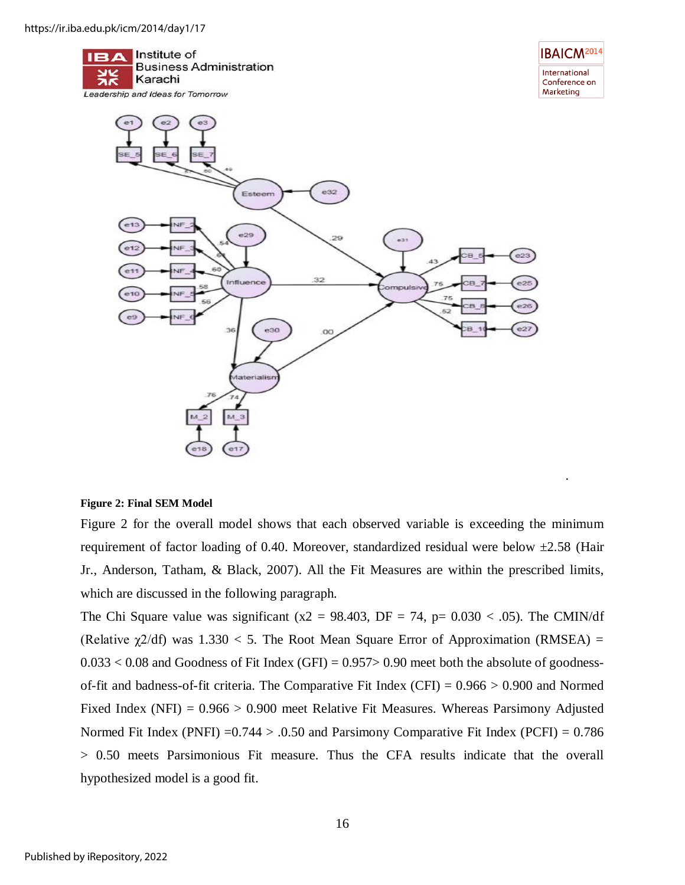

#### **Figure 2: Final SEM Model**

Figure 2 for the overall model shows that each observed variable is exceeding the minimum requirement of factor loading of 0.40. Moreover, standardized residual were below  $\pm$ 2.58 (Hair [Jr., Anderson, Tatham, & Black, 2007\)](#page-21-17). All the Fit Measures are within the prescribed limits, which are discussed in the following paragraph.

.

The Chi Square value was significant (x2 = 98.403, DF = 74, p=  $0.030 < .05$ ). The CMIN/df (Relative  $\chi$ 2/df) was 1.330 < 5. The Root Mean Square Error of Approximation (RMSEA) =  $0.033 < 0.08$  and Goodness of Fit Index (GFI) = 0.957> 0.90 meet both the absolute of goodnessof-fit and badness-of-fit criteria. The Comparative Fit Index (CFI) =  $0.966 > 0.900$  and Normed Fixed Index (NFI) =  $0.966 > 0.900$  meet Relative Fit Measures. Whereas Parsimony Adjusted Normed Fit Index (PNFI)  $=0.744 > 0.50$  and Parsimony Comparative Fit Index (PCFI) = 0.786 > 0.50 meets Parsimonious Fit measure. Thus the CFA results indicate that the overall hypothesized model is a good fit.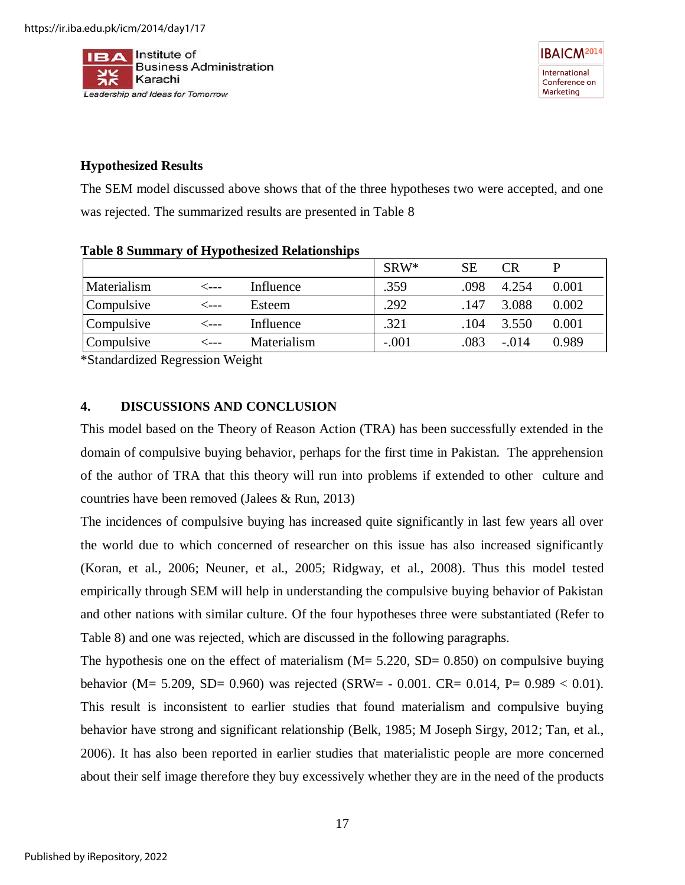

## **Hypothesized Results**

The SEM model discussed above shows that of the three hypotheses two were accepted, and one was rejected. The summarized results are presented in Table 8

| $=$ $\frac{1}{2}$ $\frac{1}{2}$ $\frac{1}{2}$ $\frac{1}{2}$ $\frac{1}{2}$ $\frac{1}{2}$ $\frac{1}{2}$ $\frac{1}{2}$ $\frac{1}{2}$ $\frac{1}{2}$ $\frac{1}{2}$ $\frac{1}{2}$ $\frac{1}{2}$ $\frac{1}{2}$ $\frac{1}{2}$ $\frac{1}{2}$ $\frac{1}{2}$ $\frac{1}{2}$ $\frac{1}{2}$ $\frac{1}{2}$ $\frac{1}{2}$ $\frac{1}{2$ |         |             |         |      |         |       |
|------------------------------------------------------------------------------------------------------------------------------------------------------------------------------------------------------------------------------------------------------------------------------------------------------------------------|---------|-------------|---------|------|---------|-------|
|                                                                                                                                                                                                                                                                                                                        |         |             | $SRW^*$ | SЕ   | CR.     |       |
| Materialism                                                                                                                                                                                                                                                                                                            | ⊂---    | Influence   | .359    | .098 | 4.254   | 0.001 |
| Compulsive                                                                                                                                                                                                                                                                                                             | $-$ --- | Esteem      | .292    | .147 | 3.088   | 0.002 |
| Compulsive                                                                                                                                                                                                                                                                                                             | ⊂---    | Influence   | .321    | .104 | 3.550   | 0.001 |
| Compulsive                                                                                                                                                                                                                                                                                                             |         | Materialism | $-.001$ | .083 | $-.014$ | 0.989 |

#### **Table 8 Summary of Hypothesized Relationships**

\*Standardized Regression Weight

## **4. DISCUSSIONS AND CONCLUSION**

This model based on the Theory of Reason Action (TRA) has been successfully extended in the domain of compulsive buying behavior, perhaps for the first time in Pakistan. The apprehension of the author of TRA that this theory will run into problems if extended to other culture and countries have been removed [\(Jalees & Run, 2013\)](#page-21-4)

The incidences of compulsive buying has increased quite significantly in last few years all over the world due to which concerned of researcher on this issue has also increased significantly [\(Koran, et al., 2006;](#page-21-1) [Neuner, et al., 2005;](#page-22-3) [Ridgway, et al., 2008\)](#page-22-4). Thus this model tested empirically through SEM will help in understanding the compulsive buying behavior of Pakistan and other nations with similar culture. Of the four hypotheses three were substantiated (Refer to Table 8) and one was rejected, which are discussed in the following paragraphs.

The hypothesis one on the effect of materialism  $(M = 5.220, SD = 0.850)$  on compulsive buying behavior (M= 5.209, SD= 0.960) was rejected (SRW= - 0.001. CR= 0.014, P= 0.989 < 0.01). This result is inconsistent to earlier studies that found materialism and compulsive buying behavior have strong and significant relationship [\(Belk, 1985;](#page-19-0) [M Joseph Sirgy, 2012;](#page-23-4) [Tan, et al.,](#page-23-5)  [2006\)](#page-23-5). It has also been reported in earlier studies that materialistic people are more concerned about their self image therefore they buy excessively whether they are in the need of the products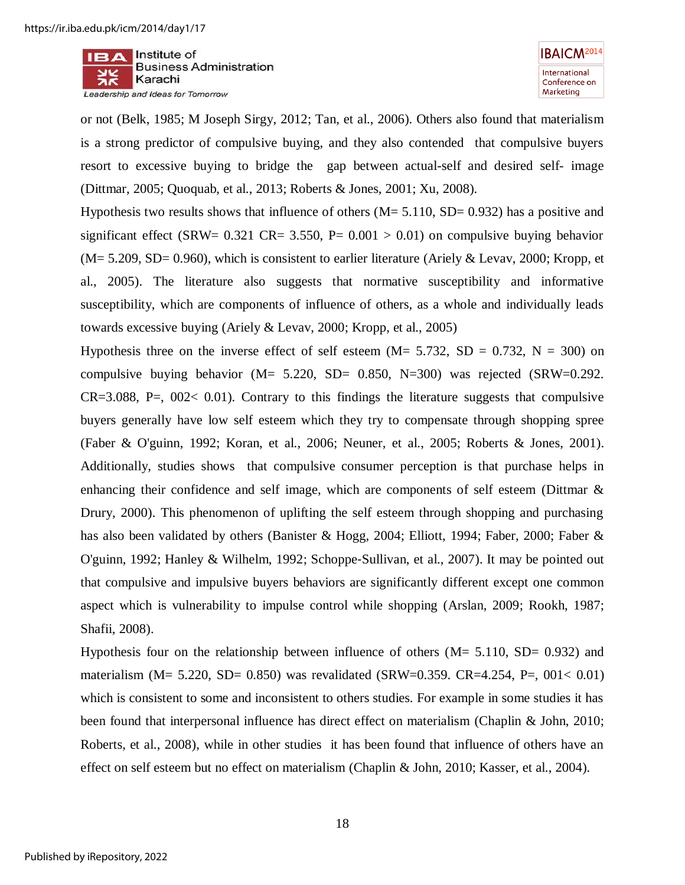$II = A$  Institute of **Business Administration** Karachi Leadership and Ideas for Tomorrow

or not [\(Belk, 1985;](#page-19-0) [M Joseph Sirgy, 2012;](#page-23-4) [Tan, et al., 2006\)](#page-23-5). Others also found that materialism is a strong predictor of compulsive buying, and they also contended that compulsive buyers resort to excessive buying to bridge the gap between actual-self and desired self- image [\(Dittmar, 2005;](#page-20-3) [Quoquab, et al., 2013;](#page-22-12) [Roberts & Jones, 2001;](#page-23-6) [Xu, 2008\)](#page-24-4).

Hypothesis two results shows that influence of others  $(M = 5.110, SD = 0.932)$  has a positive and significant effect (SRW=  $0.321$  CR= 3.550, P=  $0.001 > 0.01$ ) on compulsive buying behavior  $(M= 5.209, SD= 0.960)$ , which is consistent to earlier literature [\(Ariely & Levav, 2000;](#page-19-6) Kropp, et [al., 2005\)](#page-21-6). The literature also suggests that normative susceptibility and informative susceptibility, which are components of influence of others, as a whole and individually leads towards excessive buying [\(Ariely & Levav, 2000;](#page-19-6) [Kropp, et al., 2005\)](#page-21-6)

Hypothesis three on the inverse effect of self esteem ( $M = 5.732$ ,  $SD = 0.732$ ,  $N = 300$ ) on compulsive buying behavior ( $M = 5.220$ ,  $SD = 0.850$ ,  $N = 300$ ) was rejected ( $SRW = 0.292$ .  $CR=3.088$ ,  $P=$ ,  $0.02< 0.01$ ). Contrary to this findings the literature suggests that compulsive buyers generally have low self esteem which they try to compensate through shopping spree [\(Faber & O'guinn, 1992;](#page-20-0) [Koran, et al., 2006;](#page-21-1) [Neuner, et al., 2005;](#page-22-3) [Roberts & Jones, 2001\)](#page-23-6). Additionally, studies shows that compulsive consumer perception is that purchase helps in enhancing their confidence and self image, which are components of self esteem [\(Dittmar &](#page-20-8)  [Drury, 2000\)](#page-20-8). This phenomenon of uplifting the self esteem through shopping and purchasing has also been validated by others [\(Banister & Hogg, 2004;](#page-19-9) [Elliott, 1994;](#page-20-11) [Faber, 2000;](#page-20-1) [Faber &](#page-20-0)  [O'guinn, 1992;](#page-20-0) [Hanley & Wilhelm, 1992;](#page-21-2) Schoppe‐[Sullivan, et al., 2007\)](#page-23-7). It may be pointed out that compulsive and impulsive buyers behaviors are significantly different except one common aspect which is vulnerability to impulse control while shopping [\(Arslan, 2009;](#page-19-10) [Rookh, 1987;](#page-23-8) [Shafii, 2008\)](#page-23-9).

Hypothesis four on the relationship between influence of others  $(M = 5.110, SD = 0.932)$  and materialism ( $M = 5.220$ ,  $SD = 0.850$ ) was revalidated ( $SRW = 0.359$ .  $CR = 4.254$ ,  $P = 0.01 < 0.01$ ) which is consistent to some and inconsistent to others studies. For example in some studies it has been found that interpersonal influence has direct effect on materialism [\(Chaplin & John, 2010;](#page-20-15) [Roberts, et al., 2008\)](#page-23-12), while in other studies it has been found that influence of others have an effect on self esteem but no effect on materialism [\(Chaplin & John, 2010;](#page-20-15) [Kasser, et al., 2004\)](#page-21-9).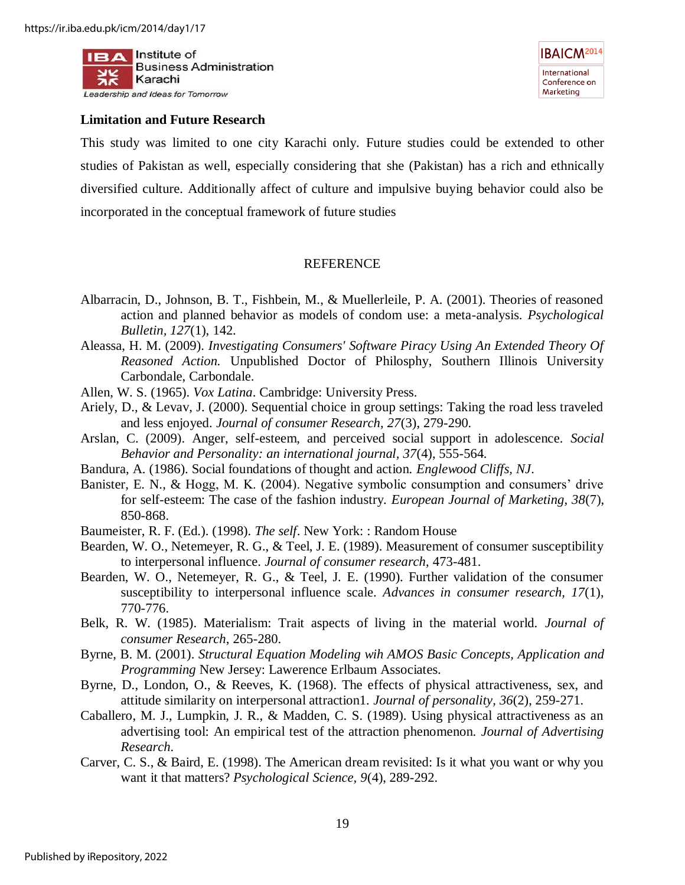



#### **Limitation and Future Research**

This study was limited to one city Karachi only. Future studies could be extended to other studies of Pakistan as well, especially considering that she (Pakistan) has a rich and ethnically diversified culture. Additionally affect of culture and impulsive buying behavior could also be incorporated in the conceptual framework of future studies

### REFERENCE

- <span id="page-19-2"></span>Albarracin, D., Johnson, B. T., Fishbein, M., & Muellerleile, P. A. (2001). Theories of reasoned action and planned behavior as models of condom use: a meta-analysis. *Psychological Bulletin, 127*(1), 142.
- <span id="page-19-3"></span>Aleassa, H. M. (2009). *Investigating Consumers' Software Piracy Using An Extended Theory Of Reasoned Action.* Unpublished Doctor of Philosphy, Southern Illinois University Carbondale, Carbondale.
- <span id="page-19-5"></span>Allen, W. S. (1965). *Vox Latina*. Cambridge: University Press.
- <span id="page-19-6"></span>Ariely, D., & Levav, J. (2000). Sequential choice in group settings: Taking the road less traveled and less enjoyed. *Journal of consumer Research, 27*(3), 279-290.
- <span id="page-19-10"></span>Arslan, C. (2009). Anger, self-esteem, and perceived social support in adolescence. *Social Behavior and Personality: an international journal, 37*(4), 555-564.
- <span id="page-19-4"></span>Bandura, A. (1986). Social foundations of thought and action. *Englewood Cliffs, NJ*.
- <span id="page-19-9"></span>Banister, E. N., & Hogg, M. K. (2004). Negative symbolic consumption and consumers' drive for self-esteem: The case of the fashion industry. *European Journal of Marketing, 38*(7), 850-868.
- <span id="page-19-8"></span>Baumeister, R. F. (Ed.). (1998). *The self*. New York: : Random House
- <span id="page-19-11"></span>Bearden, W. O., Netemeyer, R. G., & Teel, J. E. (1989). Measurement of consumer susceptibility to interpersonal influence. *Journal of consumer research*, 473-481.
- <span id="page-19-7"></span>Bearden, W. O., Netemeyer, R. G., & Teel, J. E. (1990). Further validation of the consumer susceptibility to interpersonal influence scale. *Advances in consumer research, 17*(1), 770-776.
- <span id="page-19-0"></span>Belk, R. W. (1985). Materialism: Trait aspects of living in the material world. *Journal of consumer Research*, 265-280.
- <span id="page-19-12"></span>Byrne, B. M. (2001). *Structural Equation Modeling wih AMOS Basic Concepts, Application and Programming* New Jersey: Lawerence Erlbaum Associates.
- <span id="page-19-13"></span>Byrne, D., London, O., & Reeves, K. (1968). The effects of physical attractiveness, sex, and attitude similarity on interpersonal attraction1. *Journal of personality, 36*(2), 259-271.
- <span id="page-19-14"></span>Caballero, M. J., Lumpkin, J. R., & Madden, C. S. (1989). Using physical attractiveness as an advertising tool: An empirical test of the attraction phenomenon. *Journal of Advertising Research*.
- <span id="page-19-1"></span>Carver, C. S., & Baird, E. (1998). The American dream revisited: Is it what you want or why you want it that matters? *Psychological Science, 9*(4), 289-292.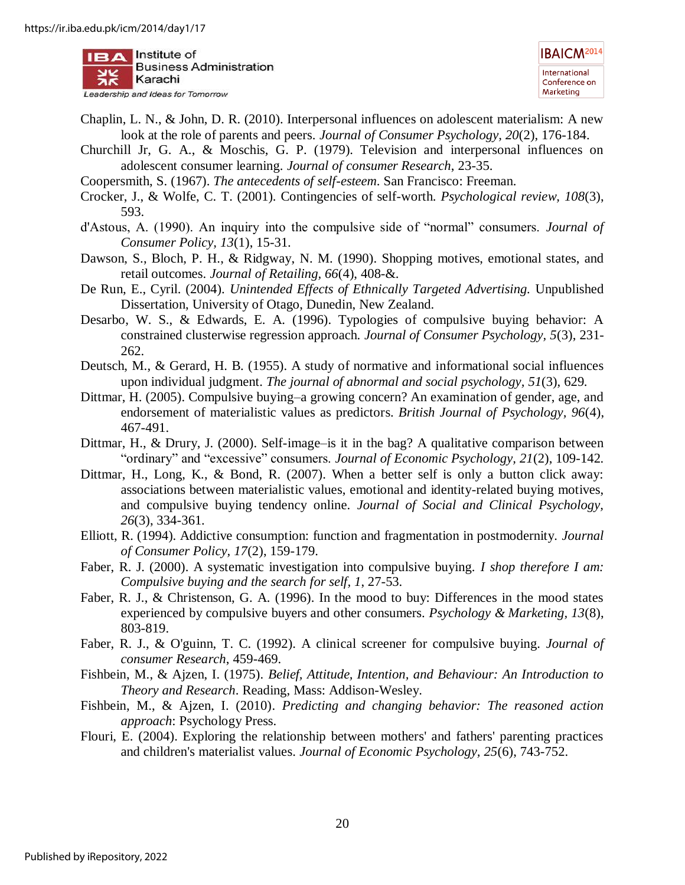

- <span id="page-20-15"></span>Chaplin, L. N., & John, D. R. (2010). Interpersonal influences on adolescent materialism: A new look at the role of parents and peers. *Journal of Consumer Psychology, 20*(2), 176-184.
- <span id="page-20-16"></span>Churchill Jr, G. A., & Moschis, G. P. (1979). Television and interpersonal influences on adolescent consumer learning. *Journal of consumer Research*, 23-35.
- <span id="page-20-10"></span>Coopersmith, S. (1967). *The antecedents of self-esteem*. San Francisco: Freeman.
- <span id="page-20-12"></span>Crocker, J., & Wolfe, C. T. (2001). Contingencies of self-worth. *Psychological review, 108*(3), 593.
- <span id="page-20-13"></span>d'Astous, A. (1990). An inquiry into the compulsive side of "normal" consumers. *Journal of Consumer Policy, 13*(1), 15-31.
- <span id="page-20-14"></span>Dawson, S., Bloch, P. H., & Ridgway, N. M. (1990). Shopping motives, emotional states, and retail outcomes. *Journal of Retailing, 66*(4), 408-&.
- <span id="page-20-18"></span>De Run, E., Cyril. (2004). *Unintended Effects of Ethnically Targeted Advertising.* Unpublished Dissertation, University of Otago, Dunedin, New Zealand.
- <span id="page-20-2"></span>Desarbo, W. S., & Edwards, E. A. (1996). Typologies of compulsive buying behavior: A constrained clusterwise regression approach. *Journal of Consumer Psychology, 5*(3), 231- 262.
- <span id="page-20-9"></span>Deutsch, M., & Gerard, H. B. (1955). A study of normative and informational social influences upon individual judgment. *The journal of abnormal and social psychology, 51*(3), 629.
- <span id="page-20-3"></span>Dittmar, H. (2005). Compulsive buying–a growing concern? An examination of gender, age, and endorsement of materialistic values as predictors. *British Journal of Psychology, 96*(4), 467-491.
- <span id="page-20-8"></span>Dittmar, H., & Drury, J. (2000). Self-image-is it in the bag? A qualitative comparison between "ordinary" and "excessive" consumers. *Journal of Economic Psychology, 21*(2), 109-142.
- <span id="page-20-6"></span>Dittmar, H., Long, K., & Bond, R. (2007). When a better self is only a button click away: associations between materialistic values, emotional and identity-related buying motives, and compulsive buying tendency online. *Journal of Social and Clinical Psychology, 26*(3), 334-361.
- <span id="page-20-11"></span>Elliott, R. (1994). Addictive consumption: function and fragmentation in postmodernity. *Journal of Consumer Policy, 17*(2), 159-179.
- <span id="page-20-1"></span>Faber, R. J. (2000). A systematic investigation into compulsive buying. *I shop therefore I am: Compulsive buying and the search for self, 1*, 27-53.
- <span id="page-20-7"></span>Faber, R. J., & Christenson, G. A. (1996). In the mood to buy: Differences in the mood states experienced by compulsive buyers and other consumers. *Psychology & Marketing, 13*(8), 803-819.
- <span id="page-20-0"></span>Faber, R. J., & O'guinn, T. C. (1992). A clinical screener for compulsive buying. *Journal of consumer Research*, 459-469.
- <span id="page-20-4"></span>Fishbein, M., & Ajzen, I. (1975). *Belief, Attitude, Intention, and Behaviour: An Introduction to Theory and Research*. Reading, Mass: Addison-Wesley.
- <span id="page-20-5"></span>Fishbein, M., & Ajzen, I. (2010). *Predicting and changing behavior: The reasoned action approach*: Psychology Press.
- <span id="page-20-17"></span>Flouri, E. (2004). Exploring the relationship between mothers' and fathers' parenting practices and children's materialist values. *Journal of Economic Psychology, 25*(6), 743-752.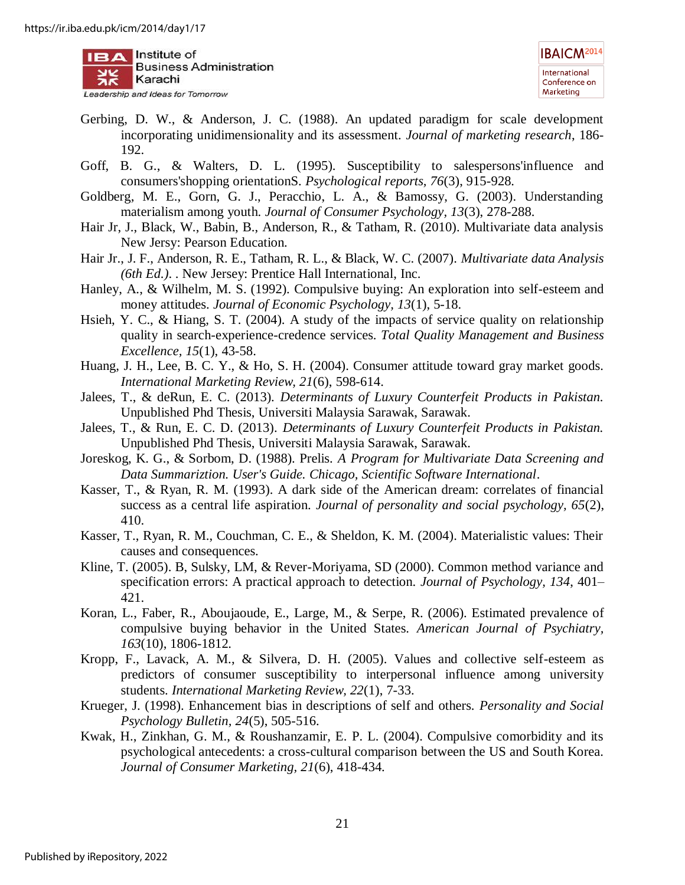

- <span id="page-21-11"></span>Gerbing, D. W., & Anderson, J. C. (1988). An updated paradigm for scale development incorporating unidimensionality and its assessment. *Journal of marketing research*, 186- 192.
- <span id="page-21-5"></span>Goff, B. G., & Walters, D. L. (1995). Susceptibility to salespersons'influence and consumers'shopping orientationS. *Psychological reports, 76*(3), 915-928.
- <span id="page-21-8"></span>Goldberg, M. E., Gorn, G. J., Peracchio, L. A., & Bamossy, G. (2003). Understanding materialism among youth. *Journal of Consumer Psychology, 13*(3), 278-288.
- <span id="page-21-10"></span>Hair Jr, J., Black, W., Babin, B., Anderson, R., & Tatham, R. (2010). Multivariate data analysis New Jersy: Pearson Education.
- <span id="page-21-17"></span>Hair Jr., J. F., Anderson, R. E., Tatham, R. L., & Black, W. C. (2007). *Multivariate data Analysis (6th Ed.)*. . New Jersey: Prentice Hall International, Inc.
- <span id="page-21-2"></span>Hanley, A., & Wilhelm, M. S. (1992). Compulsive buying: An exploration into self-esteem and money attitudes. *Journal of Economic Psychology, 13*(1), 5-18.
- <span id="page-21-15"></span>Hsieh, Y. C., & Hiang, S. T. (2004). A study of the impacts of service quality on relationship quality in search-experience-credence services. *Total Quality Management and Business Excellence, 15*(1), 43-58.
- <span id="page-21-14"></span>Huang, J. H., Lee, B. C. Y., & Ho, S. H. (2004). Consumer attitude toward gray market goods. *International Marketing Review, 21*(6), 598-614.
- <span id="page-21-13"></span>Jalees, T., & deRun, E. C. (2013). *Determinants of Luxury Counterfeit Products in Pakistan.* Unpublished Phd Thesis, Universiti Malaysia Sarawak, Sarawak.
- <span id="page-21-4"></span>Jalees, T., & Run, E. C. D. (2013). *Determinants of Luxury Counterfeit Products in Pakistan.* Unpublished Phd Thesis, Universiti Malaysia Sarawak, Sarawak.
- <span id="page-21-12"></span>Joreskog, K. G., & Sorbom, D. (1988). Prelis. *A Program for Multivariate Data Screening and Data Summariztion. User's Guide. Chicago, Scientific Software International*.
- <span id="page-21-0"></span>Kasser, T., & Ryan, R. M. (1993). A dark side of the American dream: correlates of financial success as a central life aspiration. *Journal of personality and social psychology, 65*(2), 410.
- <span id="page-21-9"></span>Kasser, T., Ryan, R. M., Couchman, C. E., & Sheldon, K. M. (2004). Materialistic values: Their causes and consequences.
- <span id="page-21-16"></span>Kline, T. (2005). B, Sulsky, LM, & Rever-Moriyama, SD (2000). Common method variance and specification errors: A practical approach to detection. *Journal of Psychology, 134*, 401– 421.
- <span id="page-21-1"></span>Koran, L., Faber, R., Aboujaoude, E., Large, M., & Serpe, R. (2006). Estimated prevalence of compulsive buying behavior in the United States. *American Journal of Psychiatry, 163*(10), 1806-1812.
- <span id="page-21-6"></span>Kropp, F., Lavack, A. M., & Silvera, D. H. (2005). Values and collective self-esteem as predictors of consumer susceptibility to interpersonal influence among university students. *International Marketing Review, 22*(1), 7-33.
- <span id="page-21-7"></span>Krueger, J. (1998). Enhancement bias in descriptions of self and others. *Personality and Social Psychology Bulletin, 24*(5), 505-516.
- <span id="page-21-3"></span>Kwak, H., Zinkhan, G. M., & Roushanzamir, E. P. L. (2004). Compulsive comorbidity and its psychological antecedents: a cross-cultural comparison between the US and South Korea. *Journal of Consumer Marketing, 21*(6), 418-434.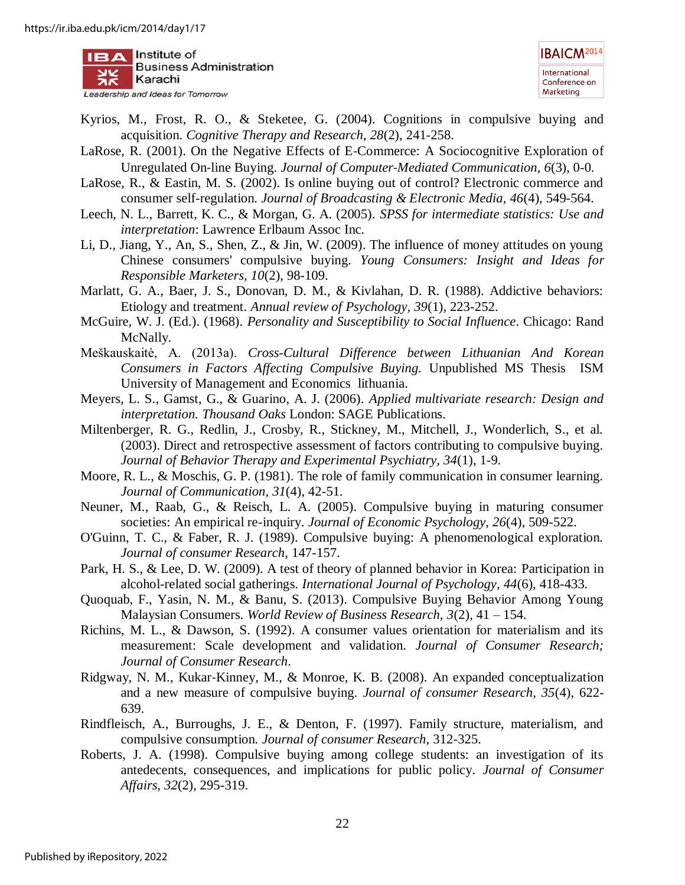

- <span id="page-22-1"></span>Kyrios, M., Frost, R. O., & Steketee, G. (2004). Cognitions in compulsive buying and acquisition. *Cognitive Therapy and Research, 28*(2), 241-258.
- <span id="page-22-9"></span>LaRose, R. (2001). On the Negative Effects of E‐Commerce: A Sociocognitive Exploration of Unregulated On‐line Buying. *Journal of Computer‐Mediated Communication, 6*(3), 0-0.
- <span id="page-22-10"></span>LaRose, R., & Eastin, M. S. (2002). Is online buying out of control? Electronic commerce and consumer self-regulation. *Journal of Broadcasting & Electronic Media, 46*(4), 549-564.
- <span id="page-22-17"></span>Leech, N. L., Barrett, K. C., & Morgan, G. A. (2005). *SPSS for intermediate statistics: Use and interpretation*: Lawrence Erlbaum Assoc Inc.
- <span id="page-22-5"></span>Li, D., Jiang, Y., An, S., Shen, Z., & Jin, W. (2009). The influence of money attitudes on young Chinese consumers' compulsive buying. *Young Consumers: Insight and Ideas for Responsible Marketers, 10*(2), 98-109.
- <span id="page-22-11"></span>Marlatt, G. A., Baer, J. S., Donovan, D. M., & Kivlahan, D. R. (1988). Addictive behaviors: Etiology and treatment. *Annual review of Psychology, 39*(1), 223-252.
- <span id="page-22-13"></span>McGuire, W. J. (Ed.). (1968). *Personality and Susceptibility to Social Influence*. Chicago: Rand McNally.
- <span id="page-22-15"></span>Meškauskaitė, A. (2013a). *Cross-Cultural Difference between Lithuanian And Korean Consumers in Factors Affecting Compulsive Buying.* Unpublished MS Thesis ISM University of Management and Economics lithuania.
- <span id="page-22-18"></span>Meyers, L. S., Gamst, G., & Guarino, A. J. (2006). *Applied multivariate research: Design and interpretation. Thousand Oaks* London: SAGE Publications.
- <span id="page-22-0"></span>Miltenberger, R. G., Redlin, J., Crosby, R., Stickney, M., Mitchell, J., Wonderlich, S., et al. (2003). Direct and retrospective assessment of factors contributing to compulsive buying. *Journal of Behavior Therapy and Experimental Psychiatry, 34*(1), 1-9.
- <span id="page-22-16"></span>Moore, R. L., & Moschis, G. P. (1981). The role of family communication in consumer learning. *Journal of Communication, 31*(4), 42-51.
- <span id="page-22-3"></span>Neuner, M., Raab, G., & Reisch, L. A. (2005). Compulsive buying in maturing consumer societies: An empirical re-inquiry. *Journal of Economic Psychology, 26*(4), 509-522.
- <span id="page-22-6"></span>O'Guinn, T. C., & Faber, R. J. (1989). Compulsive buying: A phenomenological exploration. *Journal of consumer Research*, 147-157.
- <span id="page-22-8"></span>Park, H. S., & Lee, D. W. (2009). A test of theory of planned behavior in Korea: Participation in alcohol-related social gatherings. *International Journal of Psychology, 44*(6), 418-433.
- <span id="page-22-12"></span>Quoquab, F., Yasin, N. M., & Banu, S. (2013). Compulsive Buying Behavior Among Young Malaysian Consumers. *World Review of Business Research, 3*(2), 41 – 154.
- <span id="page-22-2"></span>Richins, M. L., & Dawson, S. (1992). A consumer values orientation for materialism and its measurement: Scale development and validation. *Journal of Consumer Research; Journal of Consumer Research*.
- <span id="page-22-4"></span>Ridgway, N. M., Kukar‐Kinney, M., & Monroe, K. B. (2008). An expanded conceptualization and a new measure of compulsive buying. *Journal of consumer Research, 35*(4), 622- 639.
- <span id="page-22-7"></span>Rindfleisch, A., Burroughs, J. E., & Denton, F. (1997). Family structure, materialism, and compulsive consumption. *Journal of consumer Research*, 312-325.
- <span id="page-22-14"></span>Roberts, J. A. (1998). Compulsive buying among college students: an investigation of its antedecents, consequences, and implications for public policy. *Journal of Consumer Affairs, 32*(2), 295-319.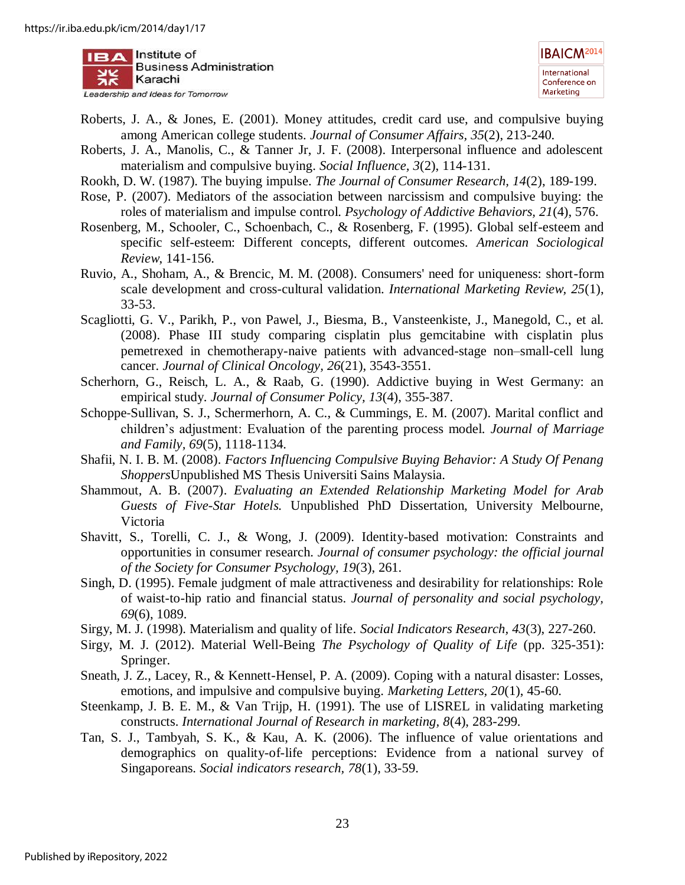

- <span id="page-23-6"></span>Roberts, J. A., & Jones, E. (2001). Money attitudes, credit card use, and compulsive buying among American college students. *Journal of Consumer Affairs, 35*(2), 213-240.
- <span id="page-23-12"></span>Roberts, J. A., Manolis, C., & Tanner Jr, J. F. (2008). Interpersonal influence and adolescent materialism and compulsive buying. *Social Influence, 3*(2), 114-131.
- <span id="page-23-8"></span>Rookh, D. W. (1987). The buying impulse. *The Journal of Consumer Research, 14*(2), 189-199.
- <span id="page-23-1"></span>Rose, P. (2007). Mediators of the association between narcissism and compulsive buying: the roles of materialism and impulse control. *Psychology of Addictive Behaviors, 21*(4), 576.
- <span id="page-23-14"></span>Rosenberg, M., Schooler, C., Schoenbach, C., & Rosenberg, F. (1995). Global self-esteem and specific self-esteem: Different concepts, different outcomes. *American Sociological Review*, 141-156.
- <span id="page-23-10"></span>Ruvio, A., Shoham, A., & Brencic, M. M. (2008). Consumers' need for uniqueness: short-form scale development and cross-cultural validation. *International Marketing Review, 25*(1), 33-53.
- <span id="page-23-3"></span>Scagliotti, G. V., Parikh, P., von Pawel, J., Biesma, B., Vansteenkiste, J., Manegold, C., et al. (2008). Phase III study comparing cisplatin plus gemcitabine with cisplatin plus pemetrexed in chemotherapy-naive patients with advanced-stage non–small-cell lung cancer. *Journal of Clinical Oncology, 26*(21), 3543-3551.
- <span id="page-23-11"></span>Scherhorn, G., Reisch, L. A., & Raab, G. (1990). Addictive buying in West Germany: an empirical study. *Journal of Consumer Policy, 13*(4), 355-387.
- <span id="page-23-7"></span>Schoppe-Sullivan, S. J., Schermerhorn, A. C., & Cummings, E. M. (2007). Marital conflict and children's adjustment: Evaluation of the parenting process model. *Journal of Marriage and Family, 69*(5), 1118-1134.
- <span id="page-23-9"></span>Shafii, N. I. B. M. (2008). *Factors Influencing Compulsive Buying Behavior: A Study Of Penang Shoppers*Unpublished MS Thesis Universiti Sains Malaysia.
- <span id="page-23-17"></span>Shammout, A. B. (2007). *Evaluating an Extended Relationship Marketing Model for Arab Guests of Five-Star Hotels.* Unpublished PhD Dissertation, University Melbourne, Victoria
- <span id="page-23-13"></span>Shavitt, S., Torelli, C. J., & Wong, J. (2009). Identity-based motivation: Constraints and opportunities in consumer research. *Journal of consumer psychology: the official journal of the Society for Consumer Psychology, 19*(3), 261.
- <span id="page-23-16"></span>Singh, D. (1995). Female judgment of male attractiveness and desirability for relationships: Role of waist-to-hip ratio and financial status. *Journal of personality and social psychology, 69*(6), 1089.
- <span id="page-23-0"></span>Sirgy, M. J. (1998). Materialism and quality of life. *Social Indicators Research, 43*(3), 227-260.
- <span id="page-23-4"></span>Sirgy, M. J. (2012). Material Well-Being *The Psychology of Quality of Life* (pp. 325-351): Springer.
- <span id="page-23-2"></span>Sneath, J. Z., Lacey, R., & Kennett-Hensel, P. A. (2009). Coping with a natural disaster: Losses, emotions, and impulsive and compulsive buying. *Marketing Letters, 20*(1), 45-60.
- <span id="page-23-15"></span>Steenkamp, J. B. E. M., & Van Trijp, H. (1991). The use of LISREL in validating marketing constructs. *International Journal of Research in marketing, 8*(4), 283-299.
- <span id="page-23-5"></span>Tan, S. J., Tambyah, S. K., & Kau, A. K. (2006). The influence of value orientations and demographics on quality-of-life perceptions: Evidence from a national survey of Singaporeans. *Social indicators research, 78*(1), 33-59.